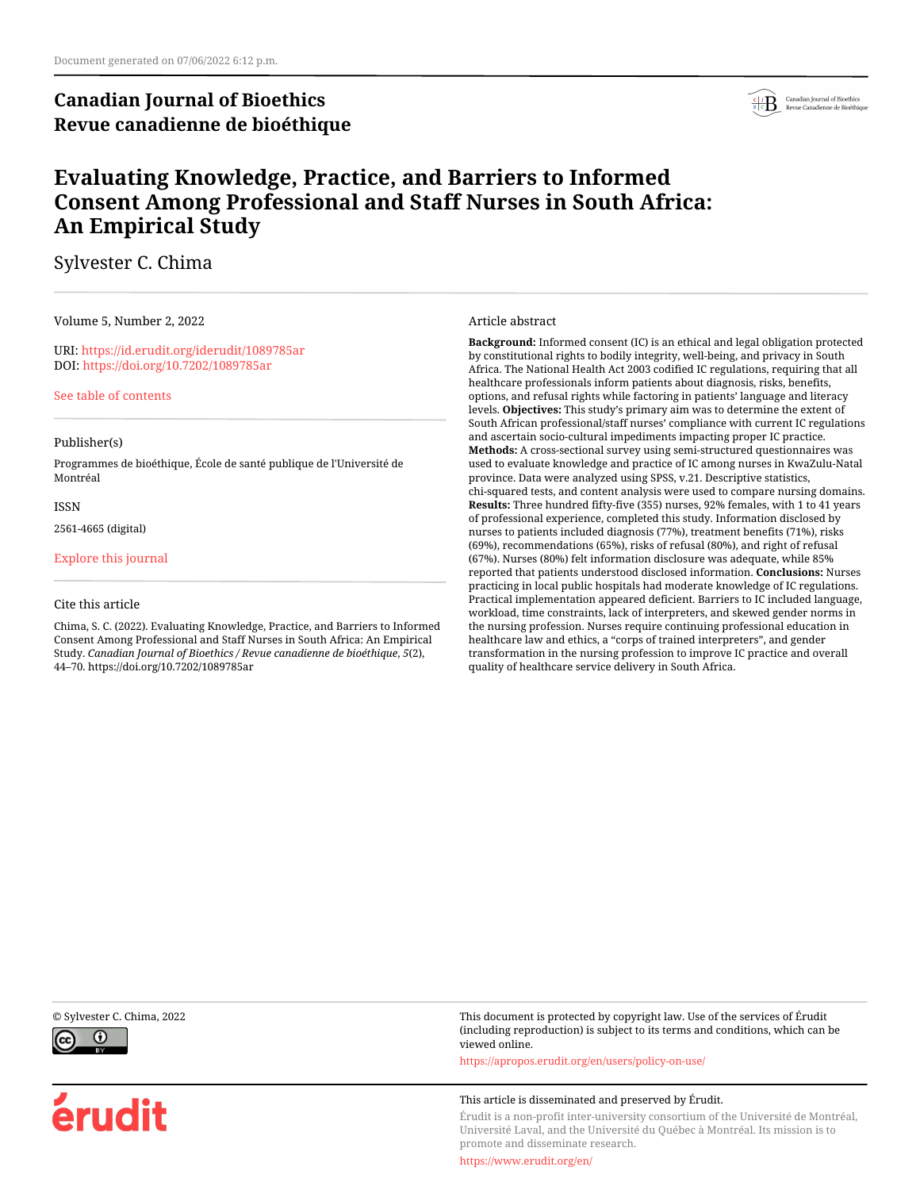# **Canadian Journal of Bioethics Revue canadienne de bioéthique**



# **Evaluating Knowledge, Practice, and Barriers to Informed Consent Among Professional and Staff Nurses in South Africa: An Empirical Study**

## Sylvester C. Chima

Volume 5, Number 2, 2022

URI:<https://id.erudit.org/iderudit/1089785ar> DOI:<https://doi.org/10.7202/1089785ar>

[See table of contents](https://www.erudit.org/en/journals/bioethics/2022-v5-n2-bioethics07048/)

#### Publisher(s)

Programmes de bioéthique, École de santé publique de l'Université de Montréal

ISSN

2561-4665 (digital)

[Explore this journal](https://www.erudit.org/en/journals/bioethics/)

#### Cite this article

Chima, S. C. (2022). Evaluating Knowledge, Practice, and Barriers to Informed Consent Among Professional and Staff Nurses in South Africa: An Empirical Study. *Canadian Journal of Bioethics / Revue canadienne de bioéthique*, *5*(2), 44–70. https://doi.org/10.7202/1089785ar

Article abstract

**Background:** Informed consent (IC) is an ethical and legal obligation protected by constitutional rights to bodily integrity, well-being, and privacy in South Africa. The National Health Act 2003 codified IC regulations, requiring that all healthcare professionals inform patients about diagnosis, risks, benefits, options, and refusal rights while factoring in patients' language and literacy levels. **Objectives:** This study's primary aim was to determine the extent of South African professional/staff nurses' compliance with current IC regulations and ascertain socio-cultural impediments impacting proper IC practice. **Methods:** A cross-sectional survey using semi-structured questionnaires was used to evaluate knowledge and practice of IC among nurses in KwaZulu-Natal province. Data were analyzed using SPSS, v.21. Descriptive statistics, chi-squared tests, and content analysis were used to compare nursing domains. **Results:** Three hundred fifty-five (355) nurses, 92% females, with 1 to 41 years of professional experience, completed this study. Information disclosed by nurses to patients included diagnosis (77%), treatment benefits (71%), risks (69%), recommendations (65%), risks of refusal (80%), and right of refusal (67%). Nurses (80%) felt information disclosure was adequate, while 85% reported that patients understood disclosed information. **Conclusions:** Nurses practicing in local public hospitals had moderate knowledge of IC regulations. Practical implementation appeared deficient. Barriers to IC included language, workload, time constraints, lack of interpreters, and skewed gender norms in the nursing profession. Nurses require continuing professional education in healthcare law and ethics, a "corps of trained interpreters", and gender transformation in the nursing profession to improve IC practice and overall quality of healthcare service delivery in South Africa.



érudit

© Sylvester C. Chima, 2022 This document is protected by copyright law. Use of the services of Érudit (including reproduction) is subject to its terms and conditions, which can be viewed online.

<https://apropos.erudit.org/en/users/policy-on-use/>

#### This article is disseminated and preserved by Érudit.

Érudit is a non-profit inter-university consortium of the Université de Montréal, Université Laval, and the Université du Québec à Montréal. Its mission is to promote and disseminate research.

<https://www.erudit.org/en/>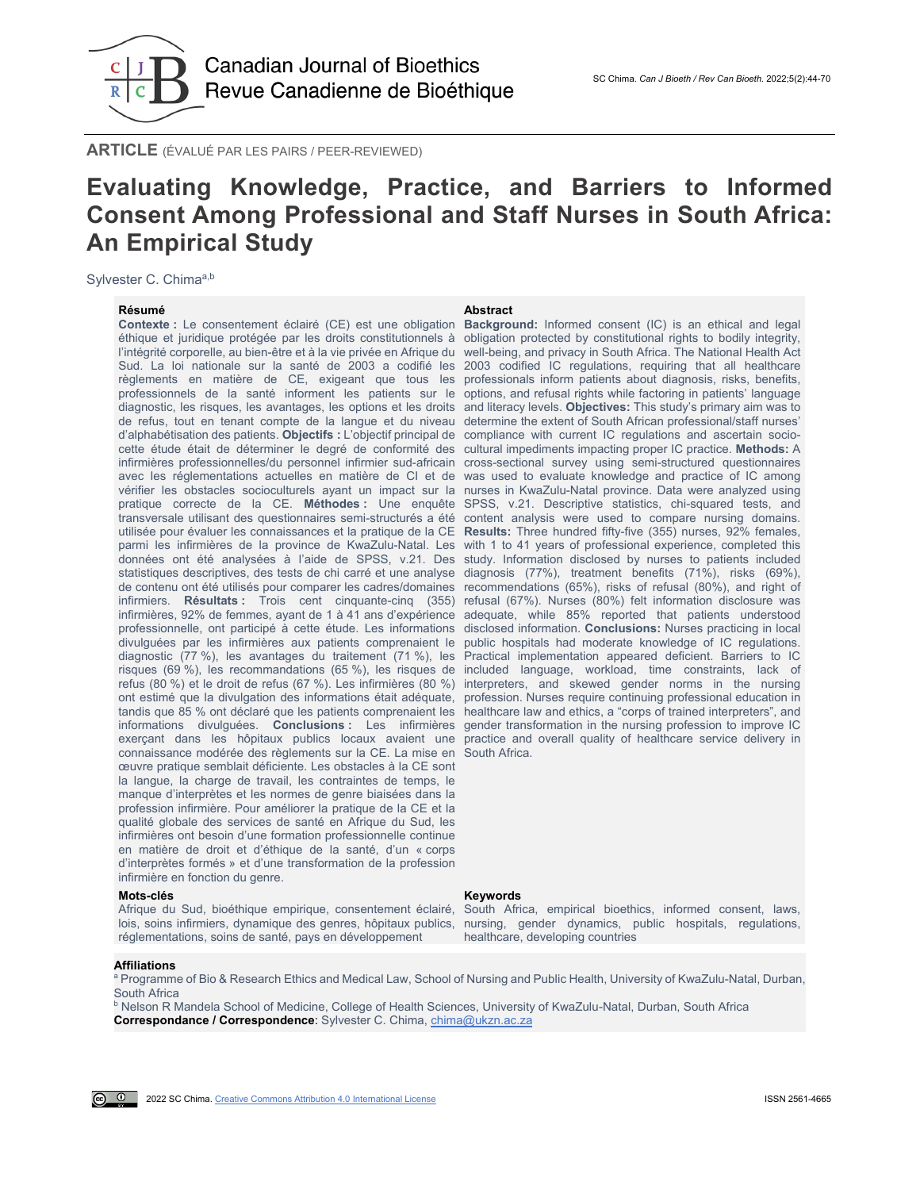

**ARTICLE** (ÉVALUÉ PAR LES PAIRS / PEER-REVIEWED)

#### SC Chima. *[Can J Bioeth / Rev Can Bioeth.](http://cjb-rcb.ca/)* 2022;5(2):44-70

# **Evaluating Knowledge, Practice, and Barriers to Informed Consent Among Professional and Staff Nurses in South Africa: An Empirical Study**

Sylvester C. Chimaa,b

**Résumé Abstract**

**Contexte :** Le consentement éclairé (CE) est une obligation **Background:** Informed consent (IC) is an ethical and legal éthique et juridique protégée par les droits constitutionnels à obligation protected by constitutional rights to bodily integrity, l'intégrité corporelle, au bien-être et à la vie privée en Afrique du well-being, and privacy in South Africa. The National Health Act Sud. La loi nationale sur la santé de 2003 a codifié les 2003 codified IC regulations, requiring that all healthcare règlements en matière de CE, exigeant que tous les professionals inform patients about diagnosis, risks, benefits, professionnels de la santé informent les patients sur le options, and refusal rights while factoring in patients' language diagnostic, les risques, les avantages, les options et les droits and literacy levels. **Objectives:** This study's primary aim was to de refus, tout en tenant compte de la langue et du niveau determine the extent of South African professional/staff nurses' d'alphabétisation des patients. **Objectifs :** L'objectif principal de compliance with current IC regulations and ascertain sociocette étude était de déterminer le degré de conformité des cultural impediments impacting proper IC practice. **Methods:** A infirmières professionnelles/du personnel infirmier sud-africain cross-sectional survey using semi-structured questionnaires avec les réglementations actuelles en matière de CI et de was used to evaluate knowledge and practice of IC among vérifier les obstacles socioculturels ayant un impact sur la nurses in KwaZulu-Natal province. Data were analyzed using pratique correcte de la CE. **Méthodes :** Une enquête SPSS, v.21. Descriptive statistics, chi-squared tests, and transversale utilisant des questionnaires semi-structurés a été content analysis were used to compare nursing domains. utilisée pour évaluer les connaissances et la pratique de la CE parmi les infirmières de la province de KwaZulu-Natal. Les with 1 to 41 years of professional experience, completed this données ont été analysées à l'aide de SPSS, v.21. Des study. Information disclosed by nurses to patients included statistiques descriptives, des tests de chi carré et une analyse diagnosis (77%), treatment benefits (71%), risks (69%), de contenu ont été utilisés pour comparer les cadres/domaines recommendations (65%), risks of refusal (80%), and right of infirmiers. **Résultats :** Trois cent cinquante-cinq (355) refusal (67%). Nurses (80%) felt information disclosure was infirmières, 92% de femmes, ayant de 1 à 41 ans d'expérience adequate, while 85% reported that patients understood professionnelle, ont participé à cette étude. Les informations disclosed information. **Conclusions:** Nurses practicing in local divulguées par les infirmières aux patients comprenaient le diagnostic (77 %), les avantages du traitement (71 %), les Practical implementation appeared deficient. Barriers to IC risques (69 %), les recommandations (65 %), les risques de included language, workload, time constraints, lack of refus (80 %) et le droit de refus (67 %). Les infirmières (80 %) interpreters, and skewed gender norms in the nursing ont estimé que la divulgation des informations était adéquate, profession. Nurses require continuing professional education in tandis que 85 % ont déclaré que les patients comprenaient les healthcare law and ethics, a "corps of trained interpreters", and informations divulguées. **Conclusions :** Les infirmières gender transformation in the nursing profession to improve IC exerçant dans les hôpitaux publics locaux avaient une practice and overall quality of healthcare service delivery in connaissance modérée des règlements sur la CE. La mise en South Africa. œuvre pratique semblait déficiente. Les obstacles à la CE sont la langue, la charge de travail, les contraintes de temps, le manque d'interprètes et les normes de genre biaisées dans la profession infirmière. Pour améliorer la pratique de la CE et la qualité globale des services de santé en Afrique du Sud, les infirmières ont besoin d'une formation professionnelle continue en matière de droit et d'éthique de la santé, d'un « corps d'interprètes formés » et d'une transformation de la profession infirmière en fonction du genre.

#### **Mots-clés Keywords**

réglementations, soins de santé, pays en développement

**Results:** Three hundred fifty-five (355) nurses, 92% females, public hospitals had moderate knowledge of IC regulations.

Afrique du Sud, bioéthique empirique, consentement éclairé, South Africa, empirical bioethics, informed consent, laws, lois, soins infirmiers, dynamique des genres, hôpitaux publics, nursing, gender dynamics, public hospitals, regulations, healthcare, developing countries

## **Affiliations**

a Programme of Bio & Research Ethics and Medical Law, School of Nursing and Public Health, University of KwaZulu-Natal, Durban, South Africa

**b Nelson R Mandela School of Medicine, College of Health Sciences, University of KwaZulu-Natal, Durban, South Africa Correspondance / Correspondence**: Sylvester C. Chima, [chima@ukzn.ac.za](mailto:chima@ukzn.ac.za)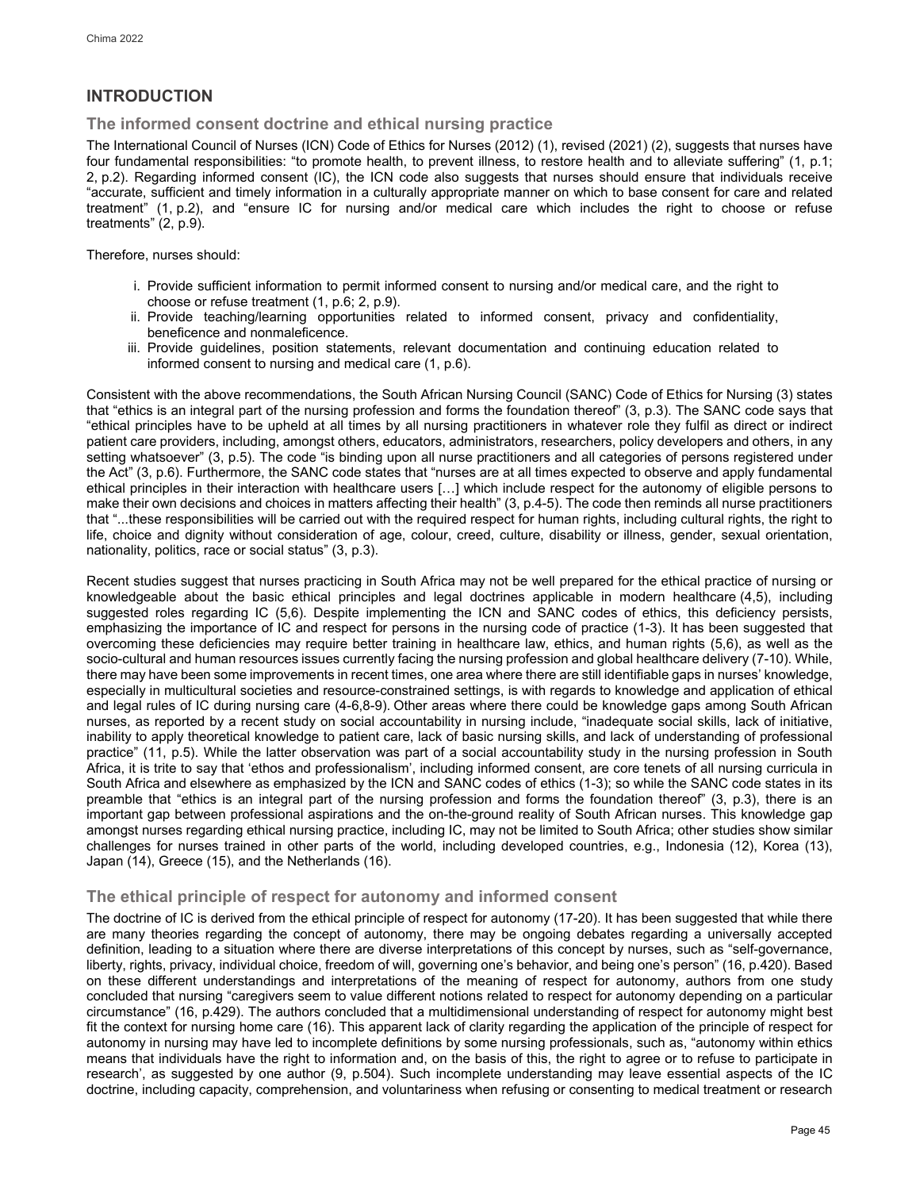## **INTRODUCTION**

## **The informed consent doctrine and ethical nursing practice**

The International Council of Nurses (ICN) Code of Ethics for Nurses (2012) (1), revised (2021) (2), suggests that nurses have four fundamental responsibilities: "to promote health, to prevent illness, to restore health and to alleviate suffering" (1, p.1; 2, p.2). Regarding informed consent (IC), the ICN code also suggests that nurses should ensure that individuals receive "accurate, sufficient and timely information in a culturally appropriate manner on which to base consent for care and related treatment" (1, p.2), and "ensure IC for nursing and/or medical care which includes the right to choose or refuse treatments" (2, p.9).

Therefore, nurses should:

- i. Provide sufficient information to permit informed consent to nursing and/or medical care, and the right to choose or refuse treatment (1, p.6; 2, p.9).
- ii. Provide teaching/learning opportunities related to informed consent, privacy and confidentiality, beneficence and nonmaleficence.
- iii. Provide guidelines, position statements, relevant documentation and continuing education related to informed consent to nursing and medical care (1, p.6).

Consistent with the above recommendations, the South African Nursing Council (SANC) Code of Ethics for Nursing (3) states that "ethics is an integral part of the nursing profession and forms the foundation thereof" (3, p.3). The SANC code says that "ethical principles have to be upheld at all times by all nursing practitioners in whatever role they fulfil as direct or indirect patient care providers, including, amongst others, educators, administrators, researchers, policy developers and others, in any setting whatsoever" (3, p.5). The code "is binding upon all nurse practitioners and all categories of persons registered under the Act" (3, p.6). Furthermore, the SANC code states that "nurses are at all times expected to observe and apply fundamental ethical principles in their interaction with healthcare users […] which include respect for the autonomy of eligible persons to make their own decisions and choices in matters affecting their health" (3, p.4-5). The code then reminds all nurse practitioners that "...these responsibilities will be carried out with the required respect for human rights, including cultural rights, the right to life, choice and dignity without consideration of age, colour, creed, culture, disability or illness, gender, sexual orientation, nationality, politics, race or social status" (3, p.3).

Recent studies suggest that nurses practicing in South Africa may not be well prepared for the ethical practice of nursing or knowledgeable about the basic ethical principles and legal doctrines applicable in modern healthcare (4,5), including suggested roles regarding IC (5,6). Despite implementing the ICN and SANC codes of ethics, this deficiency persists, emphasizing the importance of IC and respect for persons in the nursing code of practice (1-3). It has been suggested that overcoming these deficiencies may require better training in healthcare law, ethics, and human rights (5,6), as well as the socio-cultural and human resources issues currently facing the nursing profession and global healthcare delivery (7-10). While, there may have been some improvements in recent times, one area where there are still identifiable gaps in nurses' knowledge, especially in multicultural societies and resource-constrained settings, is with regards to knowledge and application of ethical and legal rules of IC during nursing care (4-6,8-9). Other areas where there could be knowledge gaps among South African nurses, as reported by a recent study on social accountability in nursing include, "inadequate social skills, lack of initiative, inability to apply theoretical knowledge to patient care, lack of basic nursing skills, and lack of understanding of professional practice" (11, p.5). While the latter observation was part of a social accountability study in the nursing profession in South Africa, it is trite to say that 'ethos and professionalism', including informed consent, are core tenets of all nursing curricula in South Africa and elsewhere as emphasized by the ICN and SANC codes of ethics (1-3); so while the SANC code states in its preamble that "ethics is an integral part of the nursing profession and forms the foundation thereof" (3, p.3), there is an important gap between professional aspirations and the on-the-ground reality of South African nurses. This knowledge gap amongst nurses regarding ethical nursing practice, including IC, may not be limited to South Africa; other studies show similar challenges for nurses trained in other parts of the world, including developed countries, e.g., Indonesia (12), Korea (13), Japan (14), Greece (15), and the Netherlands (16).

## **The ethical principle of respect for autonomy and informed consent**

The doctrine of IC is derived from the ethical principle of respect for autonomy (17-20). It has been suggested that while there are many theories regarding the concept of autonomy, there may be ongoing debates regarding a universally accepted definition, leading to a situation where there are diverse interpretations of this concept by nurses, such as "self-governance, liberty, rights, privacy, individual choice, freedom of will, governing one's behavior, and being one's person" (16, p.420). Based on these different understandings and interpretations of the meaning of respect for autonomy, authors from one study concluded that nursing "caregivers seem to value different notions related to respect for autonomy depending on a particular circumstance" (16, p.429). The authors concluded that a multidimensional understanding of respect for autonomy might best fit the context for nursing home care (16). This apparent lack of clarity regarding the application of the principle of respect for autonomy in nursing may have led to incomplete definitions by some nursing professionals, such as, "autonomy within ethics means that individuals have the right to information and, on the basis of this, the right to agree or to refuse to participate in research', as suggested by one author (9, p.504). Such incomplete understanding may leave essential aspects of the IC doctrine, including capacity, comprehension, and voluntariness when refusing or consenting to medical treatment or research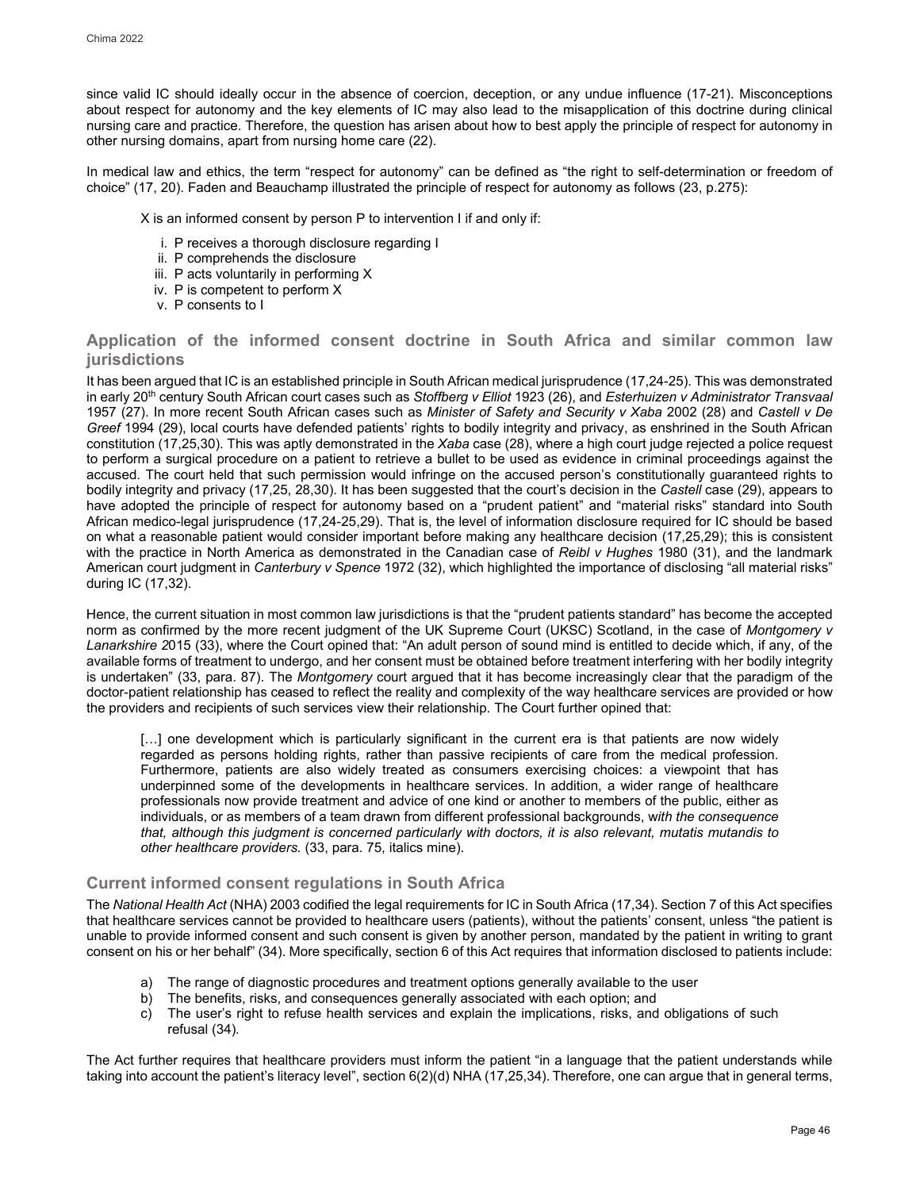since valid IC should ideally occur in the absence of coercion, deception, or any undue influence (17-21). Misconceptions about respect for autonomy and the key elements of IC may also lead to the misapplication of this doctrine during clinical nursing care and practice. Therefore, the question has arisen about how to best apply the principle of respect for autonomy in other nursing domains, apart from nursing home care (22).

In medical law and ethics, the term "respect for autonomy" can be defined as "the right to self-determination or freedom of choice" (17, 20). Faden and Beauchamp illustrated the principle of respect for autonomy as follows (23, p.275):

X is an informed consent by person P to intervention I if and only if:

- i. P receives a thorough disclosure regarding I
- ii. P comprehends the disclosure
- iii. P acts voluntarily in performing X
- iv. P is competent to perform X
- v. P consents to I

## **Application of the informed consent doctrine in South Africa and similar common law jurisdictions**

It has been argued that IC is an established principle in South African medical jurisprudence (17,24-25). This was demonstrated in early 20th century South African court cases such as *Stoffberg v Elliot* 1923 (26), and *Esterhuizen v Administrator Transvaal*  1957 (27). In more recent South African cases such as *Minister of Safety and Security v Xaba* 2002 (28) and *Castell v De Greef* 1994 (29), local courts have defended patients' rights to bodily integrity and privacy, as enshrined in the South African constitution (17,25,30). This was aptly demonstrated in the *Xaba* case (28), where a high court judge rejected a police request to perform a surgical procedure on a patient to retrieve a bullet to be used as evidence in criminal proceedings against the accused. The court held that such permission would infringe on the accused person's constitutionally guaranteed rights to bodily integrity and privacy (17,25, 28,30). It has been suggested that the court's decision in the *Castell* case (29), appears to have adopted the principle of respect for autonomy based on a "prudent patient" and "material risks" standard into South African medico-legal jurisprudence (17,24-25,29). That is, the level of information disclosure required for IC should be based on what a reasonable patient would consider important before making any healthcare decision (17,25,29); this is consistent with the practice in North America as demonstrated in the Canadian case of *Reibl v Hughes* 1980 (31), and the landmark American court judgment in *Canterbury v Spence* 1972 (32), which highlighted the importance of disclosing "all material risks" during IC (17,32).

Hence, the current situation in most common law jurisdictions is that the "prudent patients standard" has become the accepted norm as confirmed by the more recent judgment of the UK Supreme Court (UKSC) Scotland, in the case of *Montgomery v Lanarkshire 2*015 (33), where the Court opined that: "An adult person of sound mind is entitled to decide which, if any, of the available forms of treatment to undergo, and her consent must be obtained before treatment interfering with her bodily integrity is undertaken" (33, para. 87). The *Montgomery* court argued that it has become increasingly clear that the paradigm of the doctor-patient relationship has ceased to reflect the reality and complexity of the way healthcare services are provided or how the providers and recipients of such services view their relationship. The Court further opined that:

[...] one development which is particularly significant in the current era is that patients are now widely regarded as persons holding rights, rather than passive recipients of care from the medical profession. Furthermore, patients are also widely treated as consumers exercising choices: a viewpoint that has underpinned some of the developments in healthcare services. In addition, a wider range of healthcare professionals now provide treatment and advice of one kind or another to members of the public, either as individuals, or as members of a team drawn from different professional backgrounds, w*ith the consequence that, although this judgment is concerned particularly with doctors, it is also relevant, mutatis mutandis to other healthcare providers.* (33, para. 75, italics mine).

## **Current informed consent regulations in South Africa**

The *National Health Act* (NHA) 2003 codified the legal requirements for IC in South Africa (17,34). Section 7 of this Act specifies that healthcare services cannot be provided to healthcare users (patients), without the patients' consent, unless "the patient is unable to provide informed consent and such consent is given by another person, mandated by the patient in writing to grant consent on his or her behalf" (34). More specifically, section 6 of this Act requires that information disclosed to patients include:

- a) The range of diagnostic procedures and treatment options generally available to the user<br>b) The benefits, risks, and consequences generally associated with each option; and
- The benefits, risks, and consequences generally associated with each option; and
- c) The user's right to refuse health services and explain the implications, risks, and obligations of such refusal (34)*.*

The Act further requires that healthcare providers must inform the patient "in a language that the patient understands while taking into account the patient's literacy level", section 6(2)(d) NHA (17,25,34). Therefore, one can argue that in general terms,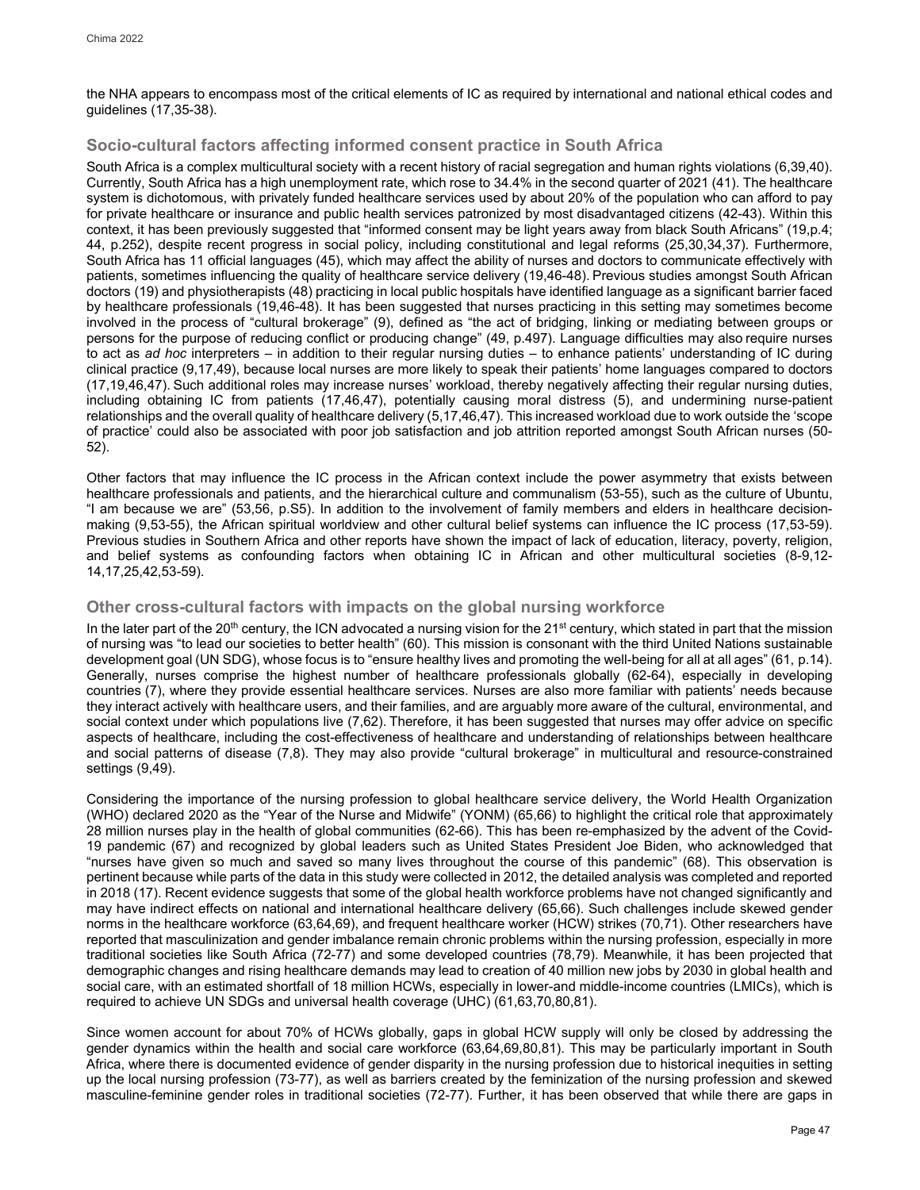the NHA appears to encompass most of the critical elements of IC as required by international and national ethical codes and guidelines (17,35-38).

## **Socio-cultural factors affecting informed consent practice in South Africa**

South Africa is a complex multicultural society with a recent history of racial segregation and human rights violations (6,39,40). Currently, South Africa has a high unemployment rate, which rose to 34.4% in the second quarter of 2021 (41). The healthcare system is dichotomous, with privately funded healthcare services used by about 20% of the population who can afford to pay for private healthcare or insurance and public health services patronized by most disadvantaged citizens (42-43). Within this context, it has been previously suggested that "informed consent may be light years away from black South Africans" (19,p.4; 44, p.252), despite recent progress in social policy, including constitutional and legal reforms (25,30,34,37). Furthermore, South Africa has 11 official languages (45), which may affect the ability of nurses and doctors to communicate effectively with patients, sometimes influencing the quality of healthcare service delivery (19,46-48). Previous studies amongst South African doctors (19) and physiotherapists (48) practicing in local public hospitals have identified language as a significant barrier faced by healthcare professionals (19,46-48). It has been suggested that nurses practicing in this setting may sometimes become involved in the process of "cultural brokerage" (9), defined as "the act of bridging, linking or mediating between groups or persons for the purpose of reducing conflict or producing change" (49, p.497). Language difficulties may also require nurses to act as *ad hoc* interpreters – in addition to their regular nursing duties – to enhance patients' understanding of IC during clinical practice (9,17,49), because local nurses are more likely to speak their patients' home languages compared to doctors (17,19,46,47). Such additional roles may increase nurses' workload, thereby negatively affecting their regular nursing duties, including obtaining IC from patients (17,46,47), potentially causing moral distress (5), and undermining nurse-patient relationships and the overall quality of healthcare delivery (5,17,46,47). This increased workload due to work outside the 'scope of practice' could also be associated with poor job satisfaction and job attrition reported amongst South African nurses (50- 52).

Other factors that may influence the IC process in the African context include the power asymmetry that exists between healthcare professionals and patients, and the hierarchical culture and communalism (53-55), such as the culture of Ubuntu, "I am because we are" (53,56, p.S5). In addition to the involvement of family members and elders in healthcare decisionmaking (9,53-55), the African spiritual worldview and other cultural belief systems can influence the IC process (17,53-59). Previous studies in Southern Africa and other reports have shown the impact of lack of education, literacy, poverty, religion, and belief systems as confounding factors when obtaining IC in African and other multicultural societies (8-9,12- 14,17,25,42,53-59).

## **Other cross-cultural factors with impacts on the global nursing workforce**

In the later part of the 20<sup>th</sup> century, the ICN advocated a nursing vision for the 21<sup>st</sup> century, which stated in part that the mission of nursing was "to lead our societies to better health" (60). This mission is consonant with the third United Nations sustainable development goal (UN SDG), whose focus is to "ensure healthy lives and promoting the well-being for all at all ages" (61, p.14). Generally, nurses comprise the highest number of healthcare professionals globally (62-64), especially in developing countries (7), where they provide essential healthcare services. Nurses are also more familiar with patients' needs because they interact actively with healthcare users, and their families, and are arguably more aware of the cultural, environmental, and social context under which populations live (7,62). Therefore, it has been suggested that nurses may offer advice on specific aspects of healthcare, including the cost-effectiveness of healthcare and understanding of relationships between healthcare and social patterns of disease (7,8). They may also provide "cultural brokerage" in multicultural and resource-constrained settings (9,49).

Considering the importance of the nursing profession to global healthcare service delivery, the World Health Organization (WHO) declared 2020 as the "Year of the Nurse and Midwife" (YONM) (65,66) to highlight the critical role that approximately 28 million nurses play in the health of global communities (62-66). This has been re-emphasized by the advent of the Covid-19 pandemic (67) and recognized by global leaders such as United States President Joe Biden, who acknowledged that "nurses have given so much and saved so many lives throughout the course of this pandemic" (68). This observation is pertinent because while parts of the data in this study were collected in 2012, the detailed analysis was completed and reported in 2018 (17). Recent evidence suggests that some of the global health workforce problems have not changed significantly and may have indirect effects on national and international healthcare delivery (65,66). Such challenges include skewed gender norms in the healthcare workforce (63,64,69), and frequent healthcare worker (HCW) strikes (70,71). Other researchers have reported that masculinization and gender imbalance remain chronic problems within the nursing profession, especially in more traditional societies like South Africa (72-77) and some developed countries (78,79). Meanwhile, it has been projected that demographic changes and rising healthcare demands may lead to creation of 40 million new jobs by 2030 in global health and social care, with an estimated shortfall of 18 million HCWs, especially in lower-and middle-income countries (LMICs), which is required to achieve UN SDGs and universal health coverage (UHC) (61,63,70,80,81).

Since women account for about 70% of HCWs globally, gaps in global HCW supply will only be closed by addressing the gender dynamics within the health and social care workforce (63,64,69,80,81). This may be particularly important in South Africa, where there is documented evidence of gender disparity in the nursing profession due to historical inequities in setting up the local nursing profession (73-77), as well as barriers created by the feminization of the nursing profession and skewed masculine-feminine gender roles in traditional societies (72-77). Further, it has been observed that while there are gaps in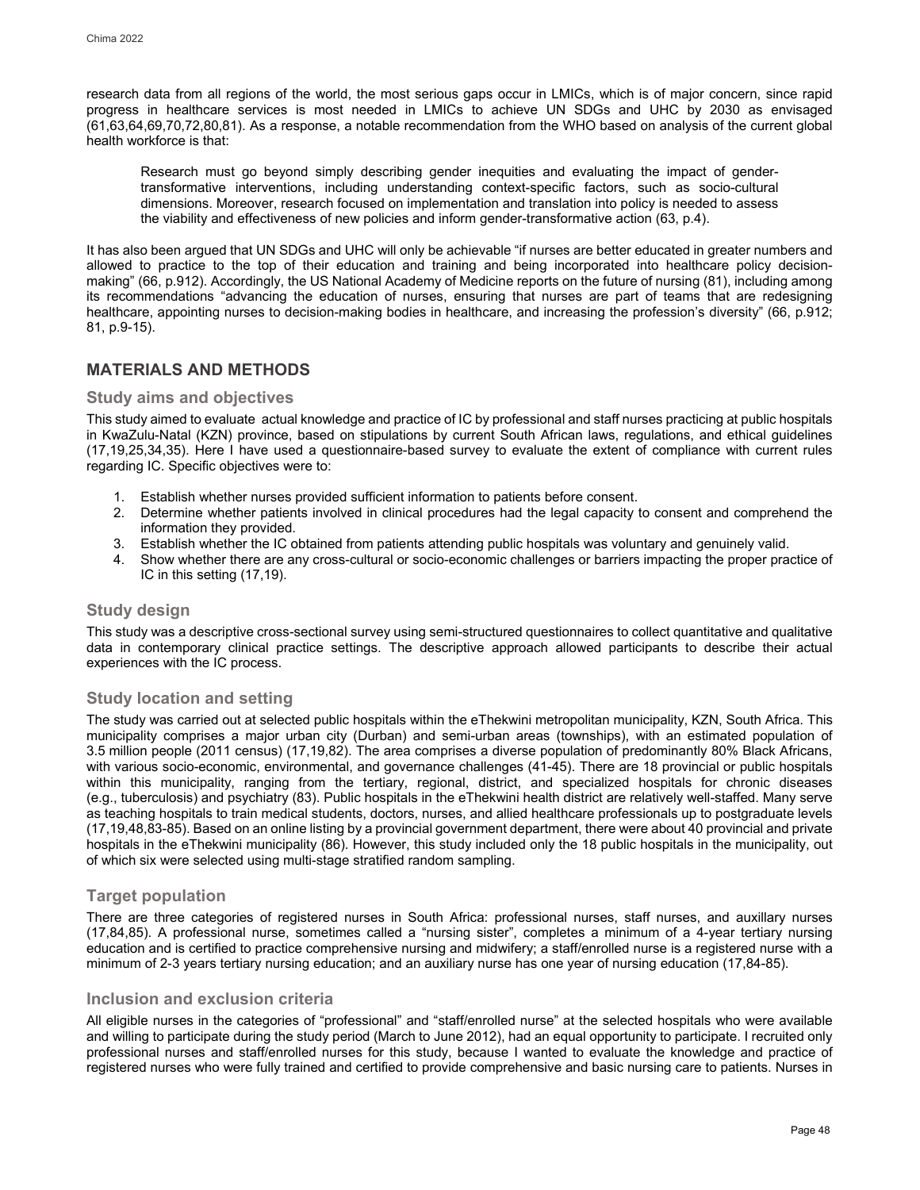research data from all regions of the world, the most serious gaps occur in LMICs, which is of major concern, since rapid progress in healthcare services is most needed in LMICs to achieve UN SDGs and UHC by 2030 as envisaged (61,63,64,69,70,72,80,81). As a response, a notable recommendation from the WHO based on analysis of the current global health workforce is that:

Research must go beyond simply describing gender inequities and evaluating the impact of gendertransformative interventions, including understanding context-specific factors, such as socio-cultural dimensions. Moreover, research focused on implementation and translation into policy is needed to assess the viability and effectiveness of new policies and inform gender-transformative action (63, p.4).

It has also been argued that UN SDGs and UHC will only be achievable "if nurses are better educated in greater numbers and allowed to practice to the top of their education and training and being incorporated into healthcare policy decisionmaking" (66, p.912). Accordingly, the US National Academy of Medicine reports on the future of nursing (81), including among its recommendations "advancing the education of nurses, ensuring that nurses are part of teams that are redesigning healthcare, appointing nurses to decision-making bodies in healthcare, and increasing the profession's diversity" (66, p.912; 81, p.9-15).

## **MATERIALS AND METHODS**

## **Study aims and objectives**

This study aimed to evaluate actual knowledge and practice of IC by professional and staff nurses practicing at public hospitals in KwaZulu-Natal (KZN) province, based on stipulations by current South African laws, regulations, and ethical guidelines (17,19,25,34,35). Here I have used a questionnaire-based survey to evaluate the extent of compliance with current rules regarding IC. Specific objectives were to:

- 1. Establish whether nurses provided sufficient information to patients before consent.
- 2. Determine whether patients involved in clinical procedures had the legal capacity to consent and comprehend the information they provided.
- 3. Establish whether the IC obtained from patients attending public hospitals was voluntary and genuinely valid.
- 4. Show whether there are any cross-cultural or socio-economic challenges or barriers impacting the proper practice of IC in this setting (17,19).

## **Study design**

This study was a descriptive cross-sectional survey using semi-structured questionnaires to collect quantitative and qualitative data in contemporary clinical practice settings. The descriptive approach allowed participants to describe their actual experiences with the IC process.

## **Study location and setting**

The study was carried out at selected public hospitals within the eThekwini metropolitan municipality, KZN, South Africa. This municipality comprises a major urban city (Durban) and semi-urban areas (townships), with an estimated population of 3.5 million people (2011 census) (17,19,82). The area comprises a diverse population of predominantly 80% Black Africans, with various socio-economic, environmental, and governance challenges (41-45). There are 18 provincial or public hospitals within this municipality, ranging from the tertiary, regional, district, and specialized hospitals for chronic diseases (e.g., tuberculosis) and psychiatry (83). Public hospitals in the eThekwini health district are relatively well-staffed. Many serve as teaching hospitals to train medical students, doctors, nurses, and allied healthcare professionals up to postgraduate levels (17,19,48,83-85). Based on an online listing by a provincial government department, there were about 40 provincial and private hospitals in the eThekwini municipality (86). However, this study included only the 18 public hospitals in the municipality, out of which six were selected using multi-stage stratified random sampling.

## **Target population**

There are three categories of registered nurses in South Africa: professional nurses, staff nurses, and auxillary nurses (17,84,85). A professional nurse, sometimes called a "nursing sister", completes a minimum of a 4-year tertiary nursing education and is certified to practice comprehensive nursing and midwifery; a staff/enrolled nurse is a registered nurse with a minimum of 2-3 years tertiary nursing education; and an auxiliary nurse has one year of nursing education (17,84-85).

## **Inclusion and exclusion criteria**

All eligible nurses in the categories of "professional" and "staff/enrolled nurse" at the selected hospitals who were available and willing to participate during the study period (March to June 2012), had an equal opportunity to participate. I recruited only professional nurses and staff/enrolled nurses for this study, because I wanted to evaluate the knowledge and practice of registered nurses who were fully trained and certified to provide comprehensive and basic nursing care to patients. Nurses in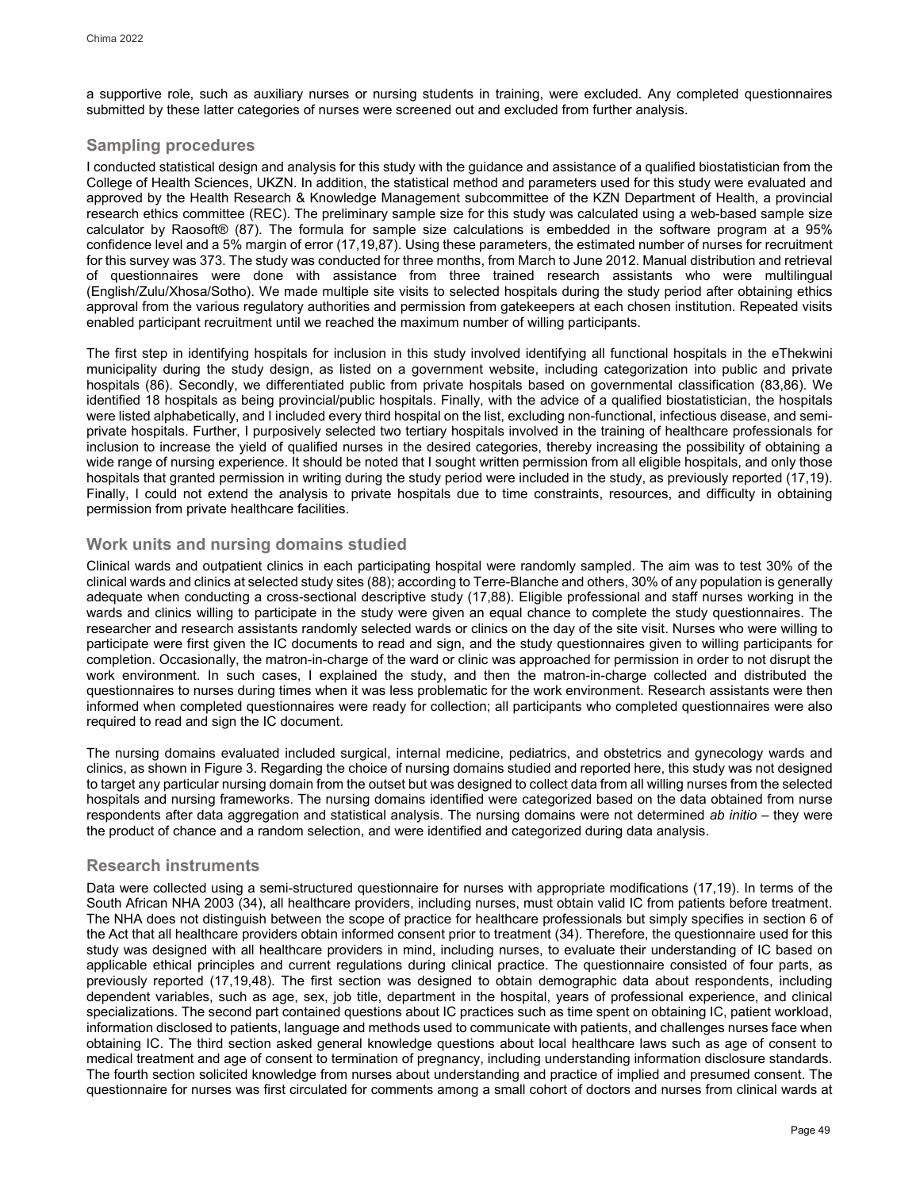a supportive role, such as auxiliary nurses or nursing students in training, were excluded. Any completed questionnaires submitted by these latter categories of nurses were screened out and excluded from further analysis.

## **Sampling procedures**

I conducted statistical design and analysis for this study with the guidance and assistance of a qualified biostatistician from the College of Health Sciences, UKZN. In addition, the statistical method and parameters used for this study were evaluated and approved by the Health Research & Knowledge Management subcommittee of the KZN Department of Health, a provincial research ethics committee (REC). The preliminary sample size for this study was calculated using a web-based sample size calculator by Raosoft® (87). The formula for sample size calculations is embedded in the software program at a 95% confidence level and a 5% margin of error (17,19,87). Using these parameters, the estimated number of nurses for recruitment for this survey was 373. The study was conducted for three months, from March to June 2012. Manual distribution and retrieval of questionnaires were done with assistance from three trained research assistants who were multilingual (English/Zulu/Xhosa/Sotho). We made multiple site visits to selected hospitals during the study period after obtaining ethics approval from the various regulatory authorities and permission from gatekeepers at each chosen institution. Repeated visits enabled participant recruitment until we reached the maximum number of willing participants.

The first step in identifying hospitals for inclusion in this study involved identifying all functional hospitals in the eThekwini municipality during the study design, as listed on a government website, including categorization into public and private hospitals (86). Secondly, we differentiated public from private hospitals based on governmental classification (83,86). We identified 18 hospitals as being provincial/public hospitals. Finally, with the advice of a qualified biostatistician, the hospitals were listed alphabetically, and I included every third hospital on the list, excluding non-functional, infectious disease, and semiprivate hospitals. Further, I purposively selected two tertiary hospitals involved in the training of healthcare professionals for inclusion to increase the yield of qualified nurses in the desired categories, thereby increasing the possibility of obtaining a wide range of nursing experience. It should be noted that I sought written permission from all eligible hospitals, and only those hospitals that granted permission in writing during the study period were included in the study, as previously reported (17,19). Finally, I could not extend the analysis to private hospitals due to time constraints, resources, and difficulty in obtaining permission from private healthcare facilities.

## **Work units and nursing domains studied**

Clinical wards and outpatient clinics in each participating hospital were randomly sampled. The aim was to test 30% of the clinical wards and clinics at selected study sites (88); according to Terre-Blanche and others, 30% of any population is generally adequate when conducting a cross-sectional descriptive study (17,88). Eligible professional and staff nurses working in the wards and clinics willing to participate in the study were given an equal chance to complete the study questionnaires. The researcher and research assistants randomly selected wards or clinics on the day of the site visit. Nurses who were willing to participate were first given the IC documents to read and sign, and the study questionnaires given to willing participants for completion. Occasionally, the matron-in-charge of the ward or clinic was approached for permission in order to not disrupt the work environment. In such cases, I explained the study, and then the matron-in-charge collected and distributed the questionnaires to nurses during times when it was less problematic for the work environment. Research assistants were then informed when completed questionnaires were ready for collection; all participants who completed questionnaires were also required to read and sign the IC document.

The nursing domains evaluated included surgical, internal medicine, pediatrics, and obstetrics and gynecology wards and clinics, as shown in Figure 3. Regarding the choice of nursing domains studied and reported here, this study was not designed to target any particular nursing domain from the outset but was designed to collect data from all willing nurses from the selected hospitals and nursing frameworks. The nursing domains identified were categorized based on the data obtained from nurse respondents after data aggregation and statistical analysis. The nursing domains were not determined *ab initio* – they were the product of chance and a random selection, and were identified and categorized during data analysis.

## **Research instruments**

Data were collected using a semi-structured questionnaire for nurses with appropriate modifications (17,19). In terms of the South African NHA 2003 (34), all healthcare providers, including nurses, must obtain valid IC from patients before treatment. The NHA does not distinguish between the scope of practice for healthcare professionals but simply specifies in section 6 of the Act that all healthcare providers obtain informed consent prior to treatment (34). Therefore, the questionnaire used for this study was designed with all healthcare providers in mind, including nurses, to evaluate their understanding of IC based on applicable ethical principles and current regulations during clinical practice. The questionnaire consisted of four parts, as previously reported (17,19,48). The first section was designed to obtain demographic data about respondents, including dependent variables, such as age, sex, job title, department in the hospital, years of professional experience, and clinical specializations. The second part contained questions about IC practices such as time spent on obtaining IC, patient workload, information disclosed to patients, language and methods used to communicate with patients, and challenges nurses face when obtaining IC. The third section asked general knowledge questions about local healthcare laws such as age of consent to medical treatment and age of consent to termination of pregnancy, including understanding information disclosure standards. The fourth section solicited knowledge from nurses about understanding and practice of implied and presumed consent. The questionnaire for nurses was first circulated for comments among a small cohort of doctors and nurses from clinical wards at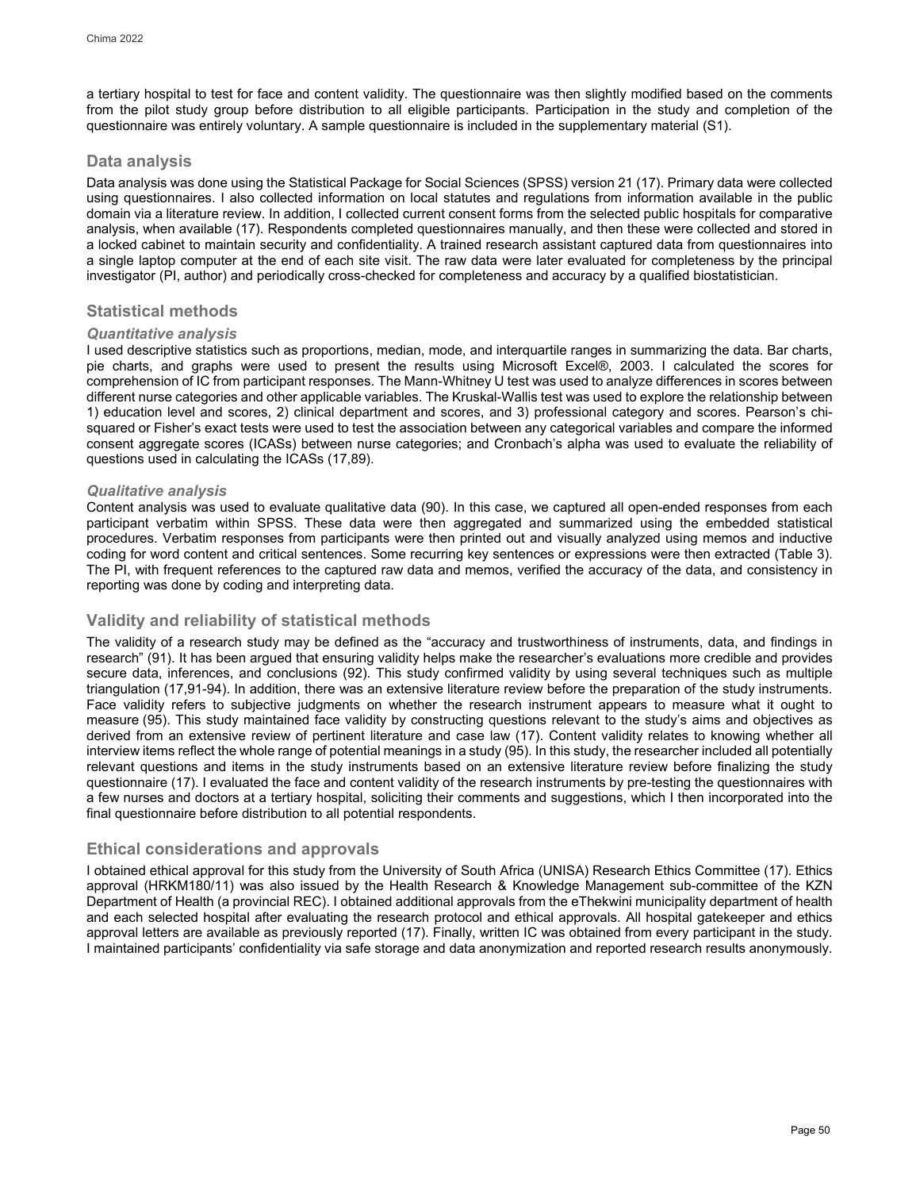a tertiary hospital to test for face and content validity. The questionnaire was then slightly modified based on the comments from the pilot study group before distribution to all eligible participants. Participation in the study and completion of the questionnaire was entirely voluntary. A sample questionnaire is included in the supplementary material [\(S1\)](#page-25-0).

## **Data analysis**

Data analysis was done using the Statistical Package for Social Sciences (SPSS) version 21 (17). Primary data were collected using questionnaires. I also collected information on local statutes and regulations from information available in the public domain via a literature review. In addition, I collected current consent forms from the selected public hospitals for comparative analysis, when available (17). Respondents completed questionnaires manually, and then these were collected and stored in a locked cabinet to maintain security and confidentiality. A trained research assistant captured data from questionnaires into a single laptop computer at the end of each site visit. The raw data were later evaluated for completeness by the principal investigator (PI, author) and periodically cross-checked for completeness and accuracy by a qualified biostatistician.

## **Statistical methods**

## *Quantitative analysis*

I used descriptive statistics such as proportions, median, mode, and interquartile ranges in summarizing the data. Bar charts, pie charts, and graphs were used to present the results using Microsoft Excel®, 2003. I calculated the scores for comprehension of IC from participant responses. The Mann-Whitney U test was used to analyze differences in scores between different nurse categories and other applicable variables. The Kruskal-Wallis test was used to explore the relationship between 1) education level and scores, 2) clinical department and scores, and 3) professional category and scores. Pearson's chisquared or Fisher's exact tests were used to test the association between any categorical variables and compare the informed consent aggregate scores (ICASs) between nurse categories; and Cronbach's alpha was used to evaluate the reliability of questions used in calculating the ICASs (17,89).

## *Qualitative analysis*

Content analysis was used to evaluate qualitative data (90). In this case, we captured all open-ended responses from each participant verbatim within SPSS. These data were then aggregated and summarized using the embedded statistical procedures. Verbatim responses from participants were then printed out and visually analyzed using memos and inductive coding for word content and critical sentences. Some recurring key sentences or expressions were then extracted (Table 3). The PI, with frequent references to the captured raw data and memos, verified the accuracy of the data, and consistency in reporting was done by coding and interpreting data.

## **Validity and reliability of statistical methods**

The validity of a research study may be defined as the "accuracy and trustworthiness of instruments, data, and findings in research" (91). It has been argued that ensuring validity helps make the researcher's evaluations more credible and provides secure data, inferences, and conclusions (92). This study confirmed validity by using several techniques such as multiple triangulation (17,91-94). In addition, there was an extensive literature review before the preparation of the study instruments. Face validity refers to subjective judgments on whether the research instrument appears to measure what it ought to measure (95). This study maintained face validity by constructing questions relevant to the study's aims and objectives as derived from an extensive review of pertinent literature and case law (17). Content validity relates to knowing whether all interview items reflect the whole range of potential meanings in a study (95). In this study, the researcher included all potentially relevant questions and items in the study instruments based on an extensive literature review before finalizing the study questionnaire (17). I evaluated the face and content validity of the research instruments by pre-testing the questionnaires with a few nurses and doctors at a tertiary hospital, soliciting their comments and suggestions, which I then incorporated into the final questionnaire before distribution to all potential respondents.

## **Ethical considerations and approvals**

I obtained ethical approval for this study from the University of South Africa (UNISA) Research Ethics Committee (17). Ethics approval (HRKM180/11) was also issued by the Health Research & Knowledge Management sub-committee of the KZN Department of Health (a provincial REC). I obtained additional approvals from the eThekwini municipality department of health and each selected hospital after evaluating the research protocol and ethical approvals. All hospital gatekeeper and ethics approval letters are available as previously reported (17). Finally, written IC was obtained from every participant in the study. I maintained participants' confidentiality via safe storage and data anonymization and reported research results anonymously.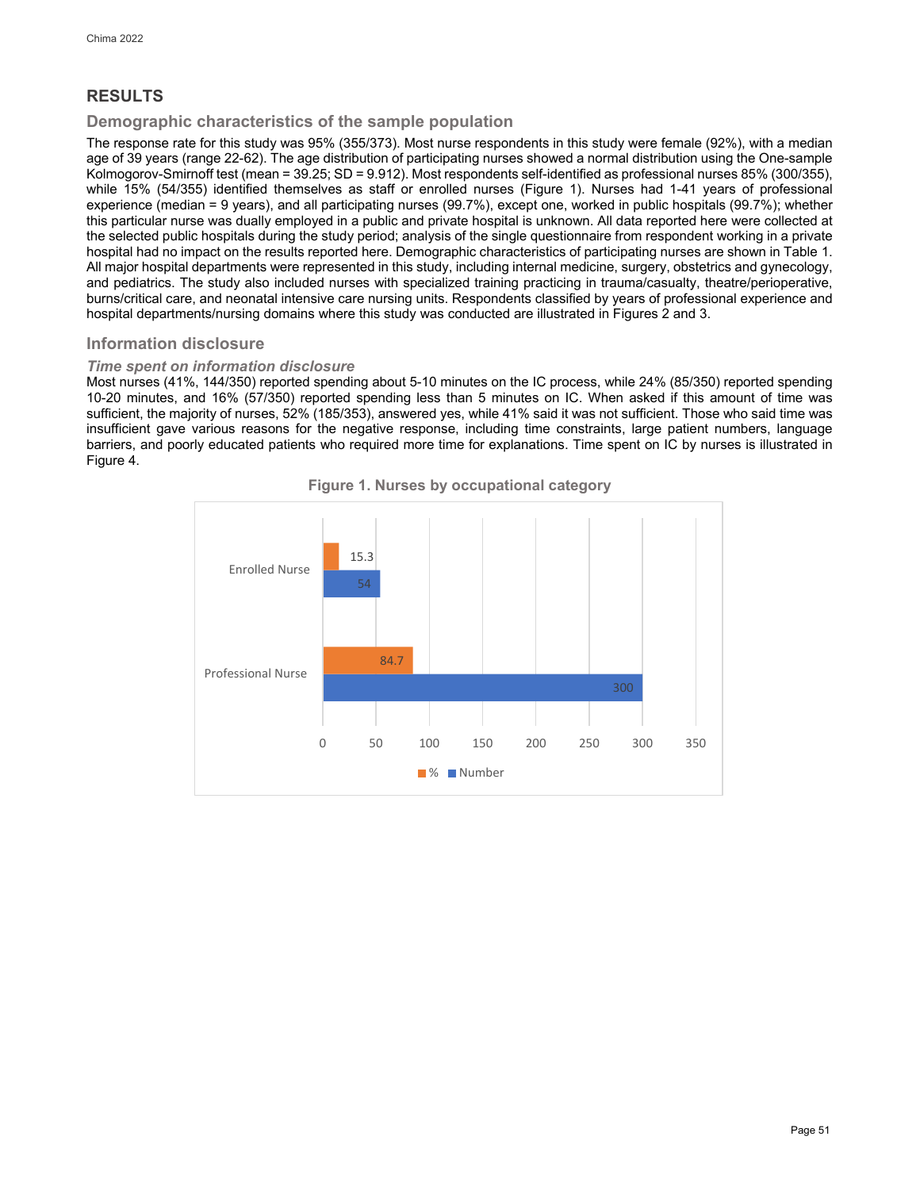# **RESULTS**

## **Demographic characteristics of the sample population**

The response rate for this study was 95% (355/373). Most nurse respondents in this study were female (92%), with a median age of 39 years (range 22-62). The age distribution of participating nurses showed a normal distribution using the One-sample Kolmogorov-Smirnoff test (mean = 39.25; SD = 9.912). Most respondents self-identified as professional nurses 85% (300/355), while 15% (54/355) identified themselves as staff or enrolled nurses (Figure 1). Nurses had 1-41 years of professional experience (median = 9 years), and all participating nurses (99.7%), except one, worked in public hospitals (99.7%); whether this particular nurse was dually employed in a public and private hospital is unknown. All data reported here were collected at the selected public hospitals during the study period; analysis of the single questionnaire from respondent working in a private hospital had no impact on the results reported here. Demographic characteristics of participating nurses are shown in Table 1. All major hospital departments were represented in this study, including internal medicine, surgery, obstetrics and gynecology, and pediatrics. The study also included nurses with specialized training practicing in trauma/casualty, theatre/perioperative, burns/critical care, and neonatal intensive care nursing units. Respondents classified by years of professional experience and hospital departments/nursing domains where this study was conducted are illustrated in Figures 2 and 3.

## **Information disclosure**

## *Time spent on information disclosure*

Most nurses (41%, 144/350) reported spending about 5-10 minutes on the IC process, while 24% (85/350) reported spending 10-20 minutes, and 16% (57/350) reported spending less than 5 minutes on IC. When asked if this amount of time was sufficient, the majority of nurses, 52% (185/353), answered yes, while 41% said it was not sufficient. Those who said time was insufficient gave various reasons for the negative response, including time constraints, large patient numbers, language barriers, and poorly educated patients who required more time for explanations. Time spent on IC by nurses is illustrated in Figure 4.



**Figure 1. Nurses by occupational category**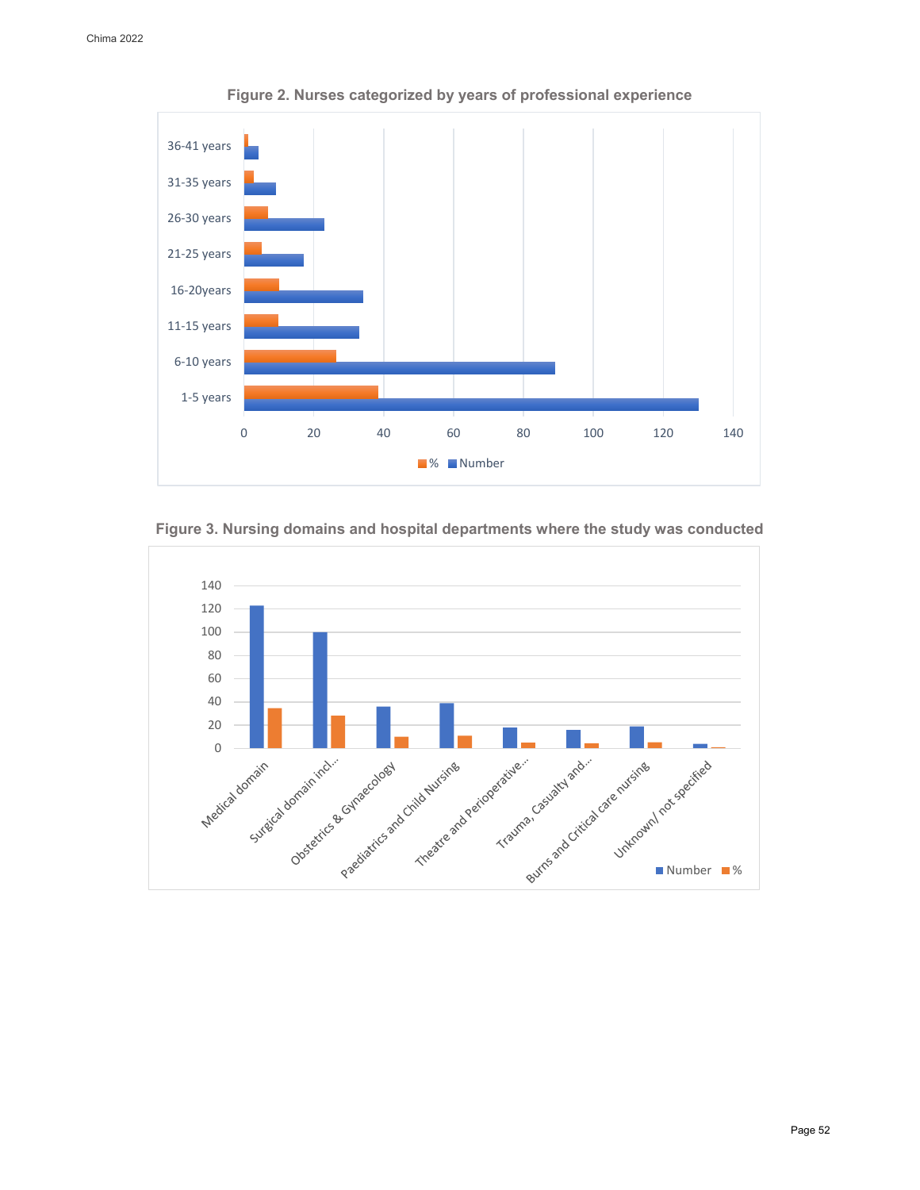

**Figure 2. Nurses categorized by years of professional experience**

**Figure 3. Nursing domains and hospital departments where the study was conducted**

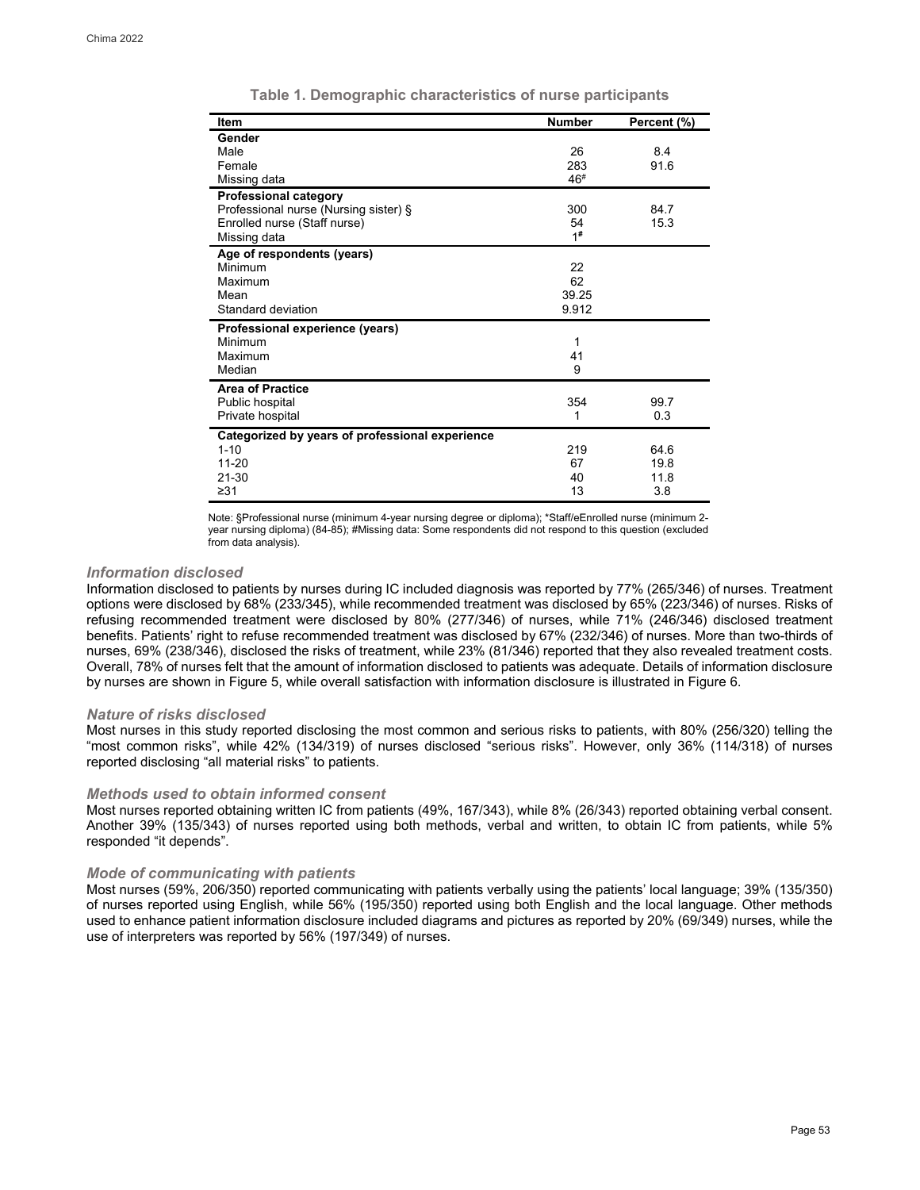| <b>Item</b>                                     | <b>Number</b> | Percent (%) |
|-------------------------------------------------|---------------|-------------|
| Gender                                          |               |             |
| Male                                            | 26            | 8.4         |
| Female                                          | 283           | 91.6        |
| Missing data                                    | 46#           |             |
| <b>Professional category</b>                    |               |             |
| Professional nurse (Nursing sister) §           | 300           | 84.7        |
| Enrolled nurse (Staff nurse)                    | 54            | 15.3        |
| Missing data                                    | 1#            |             |
| Age of respondents (years)                      |               |             |
| Minimum                                         | 22            |             |
| Maximum                                         | 62            |             |
| Mean                                            | 39.25         |             |
| Standard deviation                              | 9.912         |             |
| Professional experience (years)                 |               |             |
| Minimum                                         | 1             |             |
| Maximum                                         | 41            |             |
| Median                                          | 9             |             |
| <b>Area of Practice</b>                         |               |             |
| Public hospital                                 | 354           | 99.7        |
| Private hospital                                | 1             | 0.3         |
| Categorized by years of professional experience |               |             |
| $1 - 10$                                        | 219           | 64.6        |
| $11 - 20$                                       | 67            | 19.8        |
| $21 - 30$                                       | 40            | 11.8        |
| $\geq 31$                                       | 13            | 3.8         |
|                                                 |               |             |

|  |  | Table 1. Demographic characteristics of nurse participants |  |  |
|--|--|------------------------------------------------------------|--|--|
|--|--|------------------------------------------------------------|--|--|

Note: §Professional nurse (minimum 4-year nursing degree or diploma); \*Staff/eEnrolled nurse (minimum 2 year nursing diploma) (84-85); #Missing data: Some respondents did not respond to this question (excluded from data analysis).

### *Information disclosed*

Information disclosed to patients by nurses during IC included diagnosis was reported by 77% (265/346) of nurses. Treatment options were disclosed by 68% (233/345), while recommended treatment was disclosed by 65% (223/346) of nurses. Risks of refusing recommended treatment were disclosed by 80% (277/346) of nurses, while 71% (246/346) disclosed treatment benefits. Patients' right to refuse recommended treatment was disclosed by 67% (232/346) of nurses. More than two-thirds of nurses, 69% (238/346), disclosed the risks of treatment, while 23% (81/346) reported that they also revealed treatment costs. Overall, 78% of nurses felt that the amount of information disclosed to patients was adequate. Details of information disclosure by nurses are shown in Figure 5, while overall satisfaction with information disclosure is illustrated in Figure 6.

#### *Nature of risks disclosed*

Most nurses in this study reported disclosing the most common and serious risks to patients, with 80% (256/320) telling the "most common risks", while 42% (134/319) of nurses disclosed "serious risks". However, only 36% (114/318) of nurses reported disclosing "all material risks" to patients.

### *Methods used to obtain informed consent*

Most nurses reported obtaining written IC from patients (49%, 167/343), while 8% (26/343) reported obtaining verbal consent. Another 39% (135/343) of nurses reported using both methods, verbal and written, to obtain IC from patients, while 5% responded "it depends".

## *Mode of communicating with patients*

Most nurses (59%, 206/350) reported communicating with patients verbally using the patients' local language; 39% (135/350) of nurses reported using English, while 56% (195/350) reported using both English and the local language. Other methods used to enhance patient information disclosure included diagrams and pictures as reported by 20% (69/349) nurses, while the use of interpreters was reported by 56% (197/349) of nurses.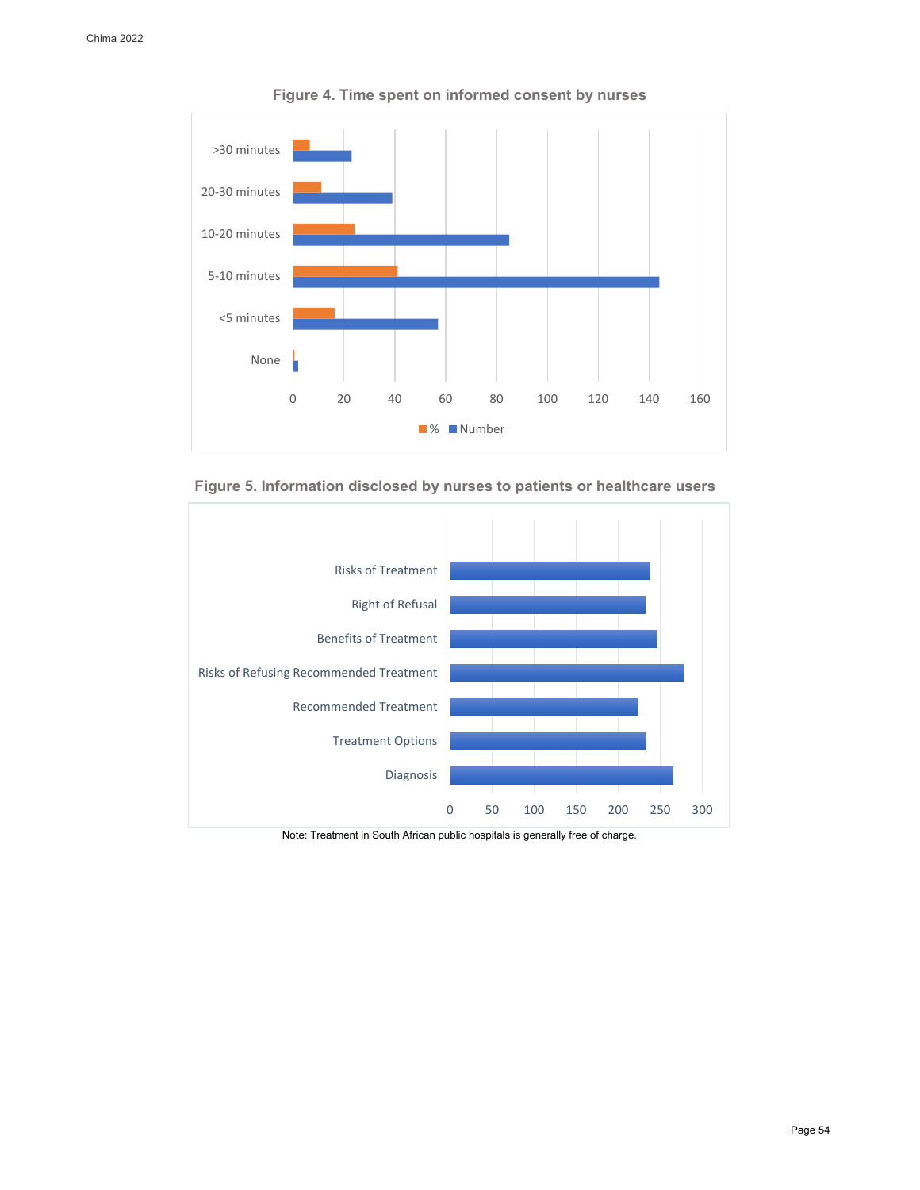

**Figure 4. Time spent on informed consent by nurses**





Note: Treatment in South African public hospitals is generally free of charge.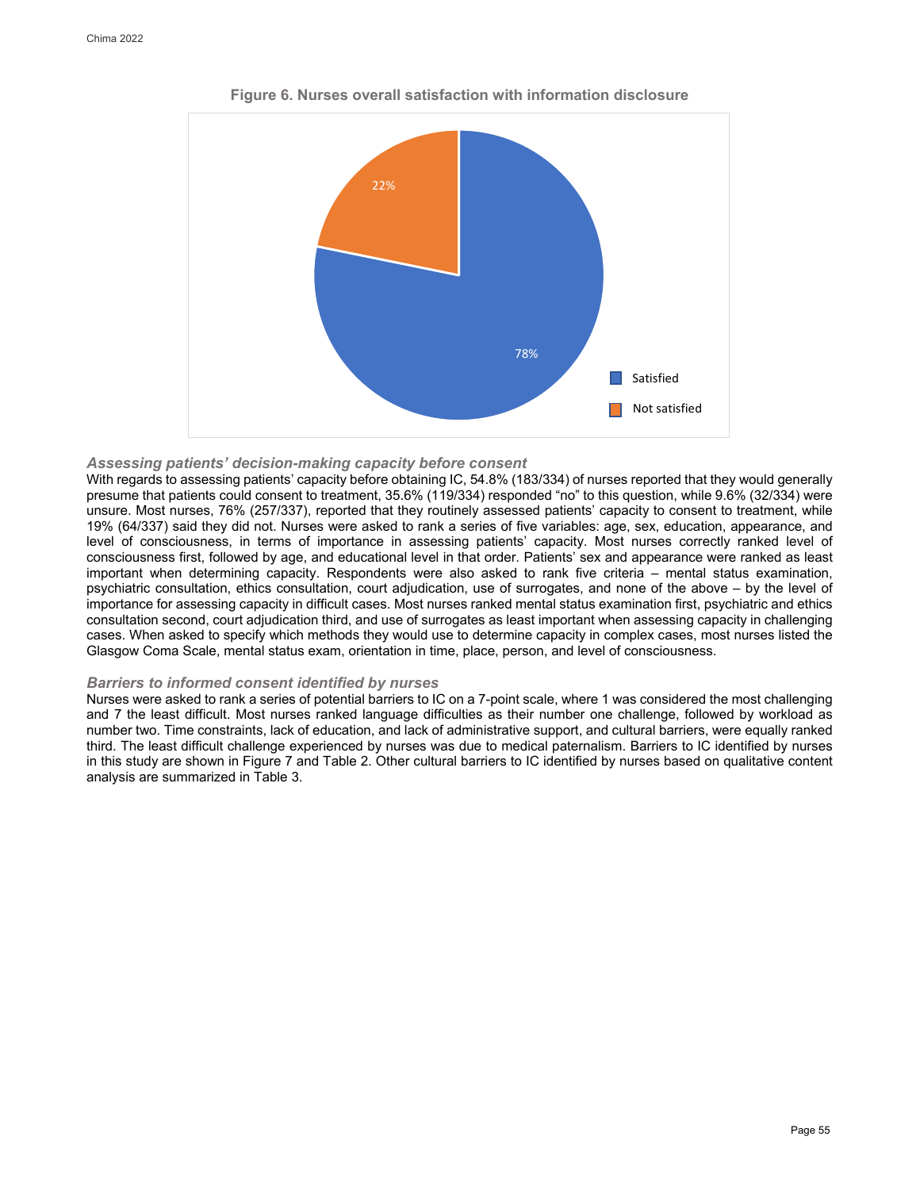

**Figure 6. Nurses overall satisfaction with information disclosure**

## *Assessing patients' decision-making capacity before consent*

With regards to assessing patients' capacity before obtaining IC, 54.8% (183/334) of nurses reported that they would generally presume that patients could consent to treatment, 35.6% (119/334) responded "no" to this question, while 9.6% (32/334) were unsure. Most nurses, 76% (257/337), reported that they routinely assessed patients' capacity to consent to treatment, while 19% (64/337) said they did not. Nurses were asked to rank a series of five variables: age, sex, education, appearance, and level of consciousness, in terms of importance in assessing patients' capacity. Most nurses correctly ranked level of consciousness first, followed by age, and educational level in that order. Patients' sex and appearance were ranked as least important when determining capacity. Respondents were also asked to rank five criteria – mental status examination, psychiatric consultation, ethics consultation, court adjudication, use of surrogates, and none of the above – by the level of importance for assessing capacity in difficult cases. Most nurses ranked mental status examination first, psychiatric and ethics consultation second, court adjudication third, and use of surrogates as least important when assessing capacity in challenging cases. When asked to specify which methods they would use to determine capacity in complex cases, most nurses listed the Glasgow Coma Scale, mental status exam, orientation in time, place, person, and level of consciousness.

### *Barriers to informed consent identified by nurses*

Nurses were asked to rank a series of potential barriers to IC on a 7-point scale, where 1 was considered the most challenging and 7 the least difficult. Most nurses ranked language difficulties as their number one challenge, followed by workload as number two. Time constraints, lack of education, and lack of administrative support, and cultural barriers, were equally ranked third. The least difficult challenge experienced by nurses was due to medical paternalism. Barriers to IC identified by nurses in this study are shown in Figure 7 and Table 2. Other cultural barriers to IC identified by nurses based on qualitative content analysis are summarized in Table 3.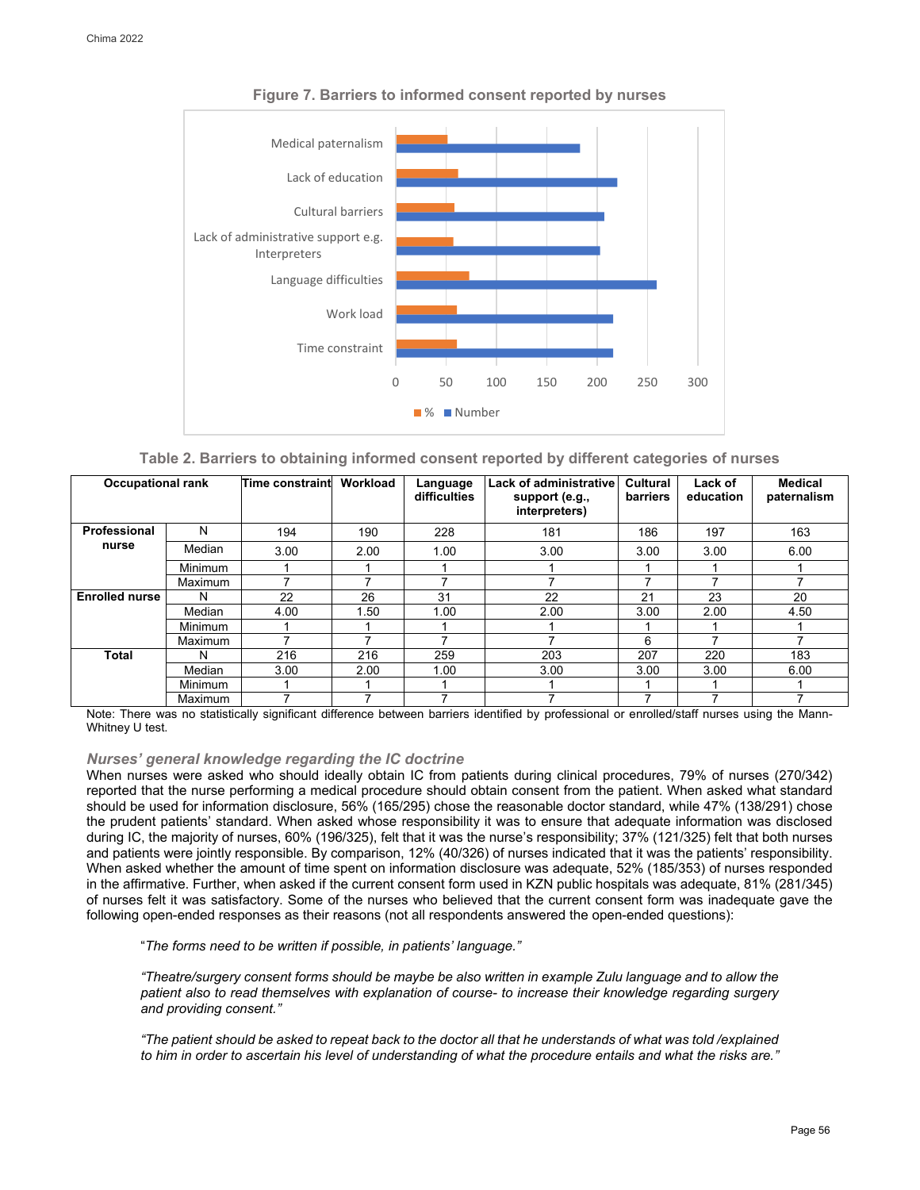

**Figure 7. Barriers to informed consent reported by nurses**

| Table 2. Barriers to obtaining informed consent reported by different categories of nurses |  |  |  |  |  |  |  |
|--------------------------------------------------------------------------------------------|--|--|--|--|--|--|--|
|--------------------------------------------------------------------------------------------|--|--|--|--|--|--|--|

| <b>Occupational rank</b> |                | Time constraint | Workload | Language<br>difficulties | <b>Lack of administrative</b><br>support (e.g.,<br>interpreters) | Cultural<br>barriers | Lack of<br>education | <b>Medical</b><br>paternalism |
|--------------------------|----------------|-----------------|----------|--------------------------|------------------------------------------------------------------|----------------------|----------------------|-------------------------------|
| Professional             | N              | 194             | 190      | 228                      | 181                                                              | 186                  | 197                  | 163                           |
| nurse                    | Median         | 3.00            | 2.00     | 1.00                     | 3.00                                                             | 3.00                 | 3.00                 | 6.00                          |
|                          | <b>Minimum</b> |                 |          |                          |                                                                  |                      |                      |                               |
|                          | Maximum        |                 |          |                          | 7                                                                | 7                    |                      | 7                             |
| <b>Enrolled nurse</b>    | N              | 22              | 26       | 31                       | 22                                                               | 21                   | 23                   | 20                            |
|                          | Median         | 4.00            | 1.50     | 1.00                     | 2.00                                                             | 3.00                 | 2.00                 | 4.50                          |
|                          | <b>Minimum</b> |                 |          |                          |                                                                  |                      |                      |                               |
|                          | Maximum        |                 |          |                          |                                                                  | 6                    |                      | 7                             |
| <b>Total</b>             | N              | 216             | 216      | 259                      | 203                                                              | 207                  | 220                  | 183                           |
|                          | Median         | 3.00            | 2.00     | 1.00                     | 3.00                                                             | 3.00                 | 3.00                 | 6.00                          |
|                          | Minimum        |                 |          |                          |                                                                  |                      |                      |                               |
|                          | Maximum        |                 |          | 7                        |                                                                  | 7                    |                      | 7                             |

Note: There was no statistically significant difference between barriers identified by professional or enrolled/staff nurses using the Mann-Whitney U test.

## *Nurses' general knowledge regarding the IC doctrine*

When nurses were asked who should ideally obtain IC from patients during clinical procedures, 79% of nurses (270/342) reported that the nurse performing a medical procedure should obtain consent from the patient. When asked what standard should be used for information disclosure, 56% (165/295) chose the reasonable doctor standard, while 47% (138/291) chose the prudent patients' standard. When asked whose responsibility it was to ensure that adequate information was disclosed during IC, the majority of nurses, 60% (196/325), felt that it was the nurse's responsibility; 37% (121/325) felt that both nurses and patients were jointly responsible. By comparison, 12% (40/326) of nurses indicated that it was the patients' responsibility. When asked whether the amount of time spent on information disclosure was adequate, 52% (185/353) of nurses responded in the affirmative. Further, when asked if the current consent form used in KZN public hospitals was adequate, 81% (281/345) of nurses felt it was satisfactory. Some of the nurses who believed that the current consent form was inadequate gave the following open-ended responses as their reasons (not all respondents answered the open-ended questions):

"*The forms need to be written if possible, in patients' language."* 

*"Theatre/surgery consent forms should be maybe be also written in example Zulu language and to allow the patient also to read themselves with explanation of course- to increase their knowledge regarding surgery and providing consent."* 

*"The patient should be asked to repeat back to the doctor all that he understands of what was told /explained to him in order to ascertain his level of understanding of what the procedure entails and what the risks are."*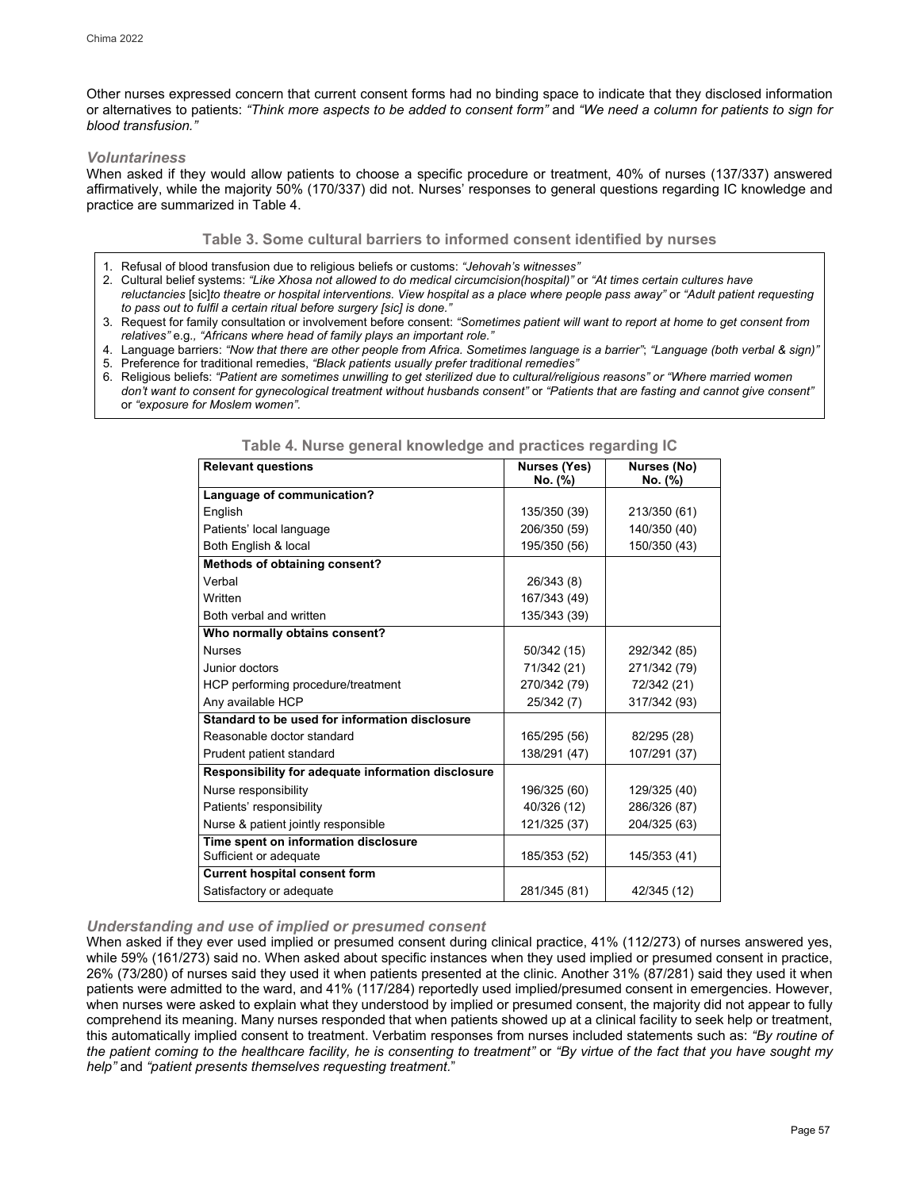Other nurses expressed concern that current consent forms had no binding space to indicate that they disclosed information or alternatives to patients: *"Think more aspects to be added to consent form"* and *"We need a column for patients to sign for blood transfusion."* 

## *Voluntariness*

When asked if they would allow patients to choose a specific procedure or treatment, 40% of nurses (137/337) answered affirmatively, while the majority 50% (170/337) did not. Nurses' responses to general questions regarding IC knowledge and practice are summarized in Table 4.

## **Table 3. Some cultural barriers to informed consent identified by nurses**

- 1. Refusal of blood transfusion due to religious beliefs or customs: *"Jehovah's witnesses"*
- 2. Cultural belief systems: *"Like Xhosa not allowed to do medical circumcision(hospital)"* or *"At times certain cultures have reluctancies* [sic]*to theatre or hospital interventions. View hospital as a place where people pass away"* or *"Adult patient requesting to pass out to fulfil a certain ritual before surgery [sic] is done."*
- 3. Request for family consultation or involvement before consent: *"Sometimes patient will want to report at home to get consent from relatives"* e.g*., "Africans where head of family plays an important role."*
- 4. Language barriers: *"Now that there are other people from Africa. Sometimes language is a barrier"*; *"Language (both verbal & sign)"*
- 5. Preference for traditional remedies, *"Black patients usually prefer traditional remedies"*
- 6. Religious beliefs: *"Patient are sometimes unwilling to get sterilized due to cultural/religious reasons" or "Where married women don't want to consent for gynecological treatment without husbands consent"* or *"Patients that are fasting and cannot give consent"* or *"exposure for Moslem women".*

| <b>Relevant questions</b>                          | <b>Nurses (Yes)</b> | Nurses (No)  |
|----------------------------------------------------|---------------------|--------------|
|                                                    | No. (%)             | No. (%)      |
| Language of communication?                         |                     |              |
| English                                            | 135/350 (39)        | 213/350 (61) |
| Patients' local language                           | 206/350 (59)        | 140/350 (40) |
| Both English & local                               | 195/350 (56)        | 150/350 (43) |
| Methods of obtaining consent?                      |                     |              |
| Verbal                                             | 26/343 (8)          |              |
| Written                                            | 167/343 (49)        |              |
| Both verbal and written                            | 135/343 (39)        |              |
| Who normally obtains consent?                      |                     |              |
| <b>Nurses</b>                                      | 50/342 (15)         | 292/342 (85) |
| Junior doctors                                     | 71/342 (21)         | 271/342 (79) |
| HCP performing procedure/treatment                 | 270/342 (79)        | 72/342 (21)  |
| Any available HCP                                  | 25/342 (7)          | 317/342 (93) |
| Standard to be used for information disclosure     |                     |              |
| Reasonable doctor standard                         | 165/295 (56)        | 82/295 (28)  |
| Prudent patient standard                           | 138/291 (47)        | 107/291 (37) |
| Responsibility for adequate information disclosure |                     |              |
| Nurse responsibility                               | 196/325 (60)        | 129/325 (40) |
| Patients' responsibility                           | 40/326 (12)         | 286/326 (87) |
| Nurse & patient jointly responsible                | 121/325 (37)        | 204/325 (63) |
| Time spent on information disclosure               |                     |              |
| Sufficient or adequate                             | 185/353 (52)        | 145/353 (41) |
| <b>Current hospital consent form</b>               |                     |              |
| Satisfactory or adequate                           | 281/345 (81)        | 42/345 (12)  |

**Table 4. Nurse general knowledge and practices regarding IC**

## *Understanding and use of implied or presumed consent*

When asked if they ever used implied or presumed consent during clinical practice, 41% (112/273) of nurses answered yes, while 59% (161/273) said no. When asked about specific instances when they used implied or presumed consent in practice, 26% (73/280) of nurses said they used it when patients presented at the clinic. Another 31% (87/281) said they used it when patients were admitted to the ward, and 41% (117/284) reportedly used implied/presumed consent in emergencies. However, when nurses were asked to explain what they understood by implied or presumed consent, the majority did not appear to fully comprehend its meaning. Many nurses responded that when patients showed up at a clinical facility to seek help or treatment, this automatically implied consent to treatment. Verbatim responses from nurses included statements such as: *"By routine of the patient coming to the healthcare facility, he is consenting to treatment"* or *"By virtue of the fact that you have sought my help"* and *"patient presents themselves requesting treatment.*"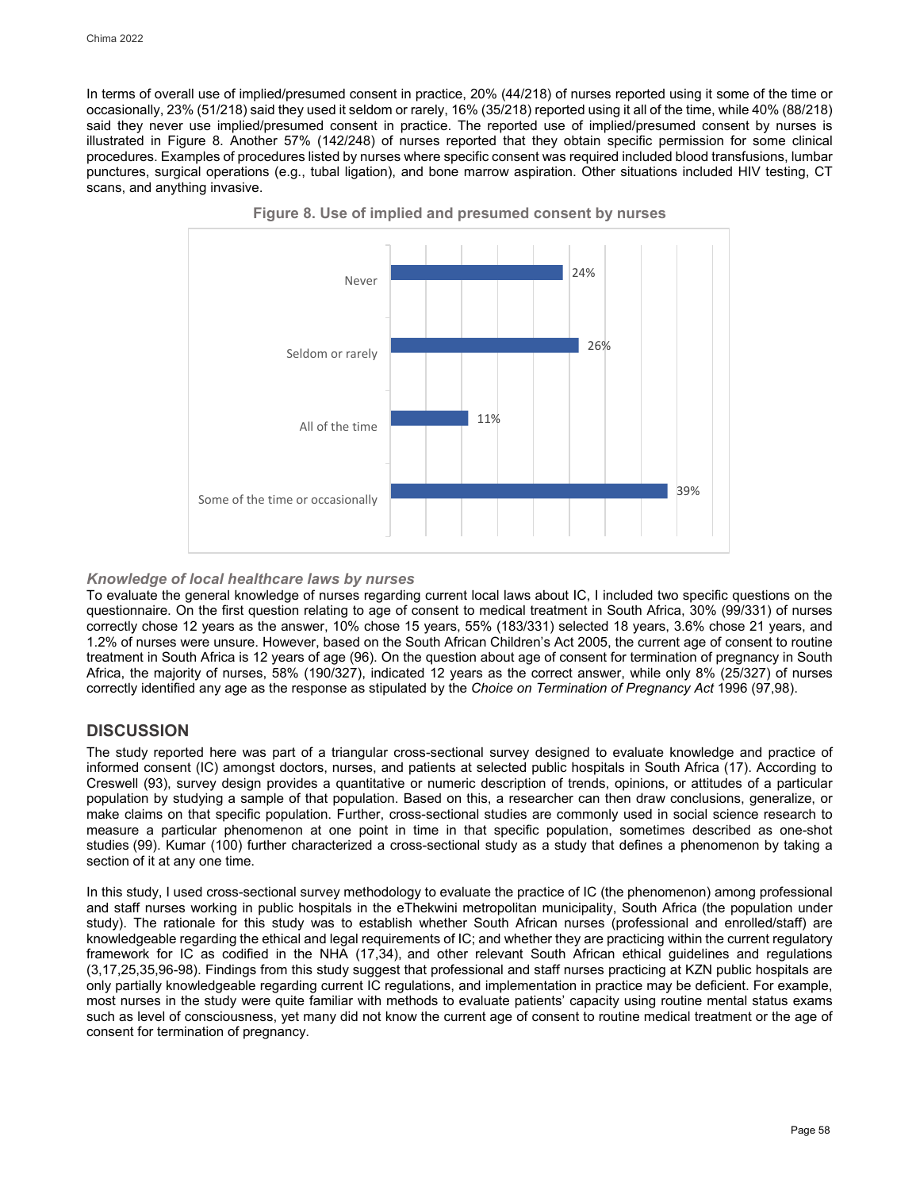In terms of overall use of implied/presumed consent in practice, 20% (44/218) of nurses reported using it some of the time or occasionally, 23% (51/218) said they used it seldom or rarely, 16% (35/218) reported using it all of the time, while 40% (88/218) said they never use implied/presumed consent in practice. The reported use of implied/presumed consent by nurses is illustrated in Figure 8. Another 57% (142/248) of nurses reported that they obtain specific permission for some clinical procedures. Examples of procedures listed by nurses where specific consent was required included blood transfusions, lumbar punctures, surgical operations (e.g., tubal ligation), and bone marrow aspiration. Other situations included HIV testing, CT scans, and anything invasive.





## *Knowledge of local healthcare laws by nurses*

To evaluate the general knowledge of nurses regarding current local laws about IC, I included two specific questions on the questionnaire. On the first question relating to age of consent to medical treatment in South Africa, 30% (99/331) of nurses correctly chose 12 years as the answer, 10% chose 15 years, 55% (183/331) selected 18 years, 3.6% chose 21 years, and 1.2% of nurses were unsure. However, based on the South African Children's Act 2005, the current age of consent to routine treatment in South Africa is 12 years of age (96). On the question about age of consent for termination of pregnancy in South Africa, the majority of nurses, 58% (190/327), indicated 12 years as the correct answer, while only 8% (25/327) of nurses correctly identified any age as the response as stipulated by the *Choice on Termination of Pregnancy Act* 1996 (97,98).

## **DISCUSSION**

The study reported here was part of a triangular cross-sectional survey designed to evaluate knowledge and practice of informed consent (IC) amongst doctors, nurses, and patients at selected public hospitals in South Africa (17). According to Creswell (93), survey design provides a quantitative or numeric description of trends, opinions, or attitudes of a particular population by studying a sample of that population. Based on this, a researcher can then draw conclusions, generalize, or make claims on that specific population. Further, cross-sectional studies are commonly used in social science research to measure a particular phenomenon at one point in time in that specific population, sometimes described as one-shot studies (99). Kumar (100) further characterized a cross-sectional study as a study that defines a phenomenon by taking a section of it at any one time.

In this study, I used cross-sectional survey methodology to evaluate the practice of IC (the phenomenon) among professional and staff nurses working in public hospitals in the eThekwini metropolitan municipality, South Africa (the population under study). The rationale for this study was to establish whether South African nurses (professional and enrolled/staff) are knowledgeable regarding the ethical and legal requirements of IC; and whether they are practicing within the current regulatory framework for IC as codified in the NHA (17,34), and other relevant South African ethical guidelines and regulations (3,17,25,35,96-98). Findings from this study suggest that professional and staff nurses practicing at KZN public hospitals are only partially knowledgeable regarding current IC regulations, and implementation in practice may be deficient. For example, most nurses in the study were quite familiar with methods to evaluate patients' capacity using routine mental status exams such as level of consciousness, yet many did not know the current age of consent to routine medical treatment or the age of consent for termination of pregnancy.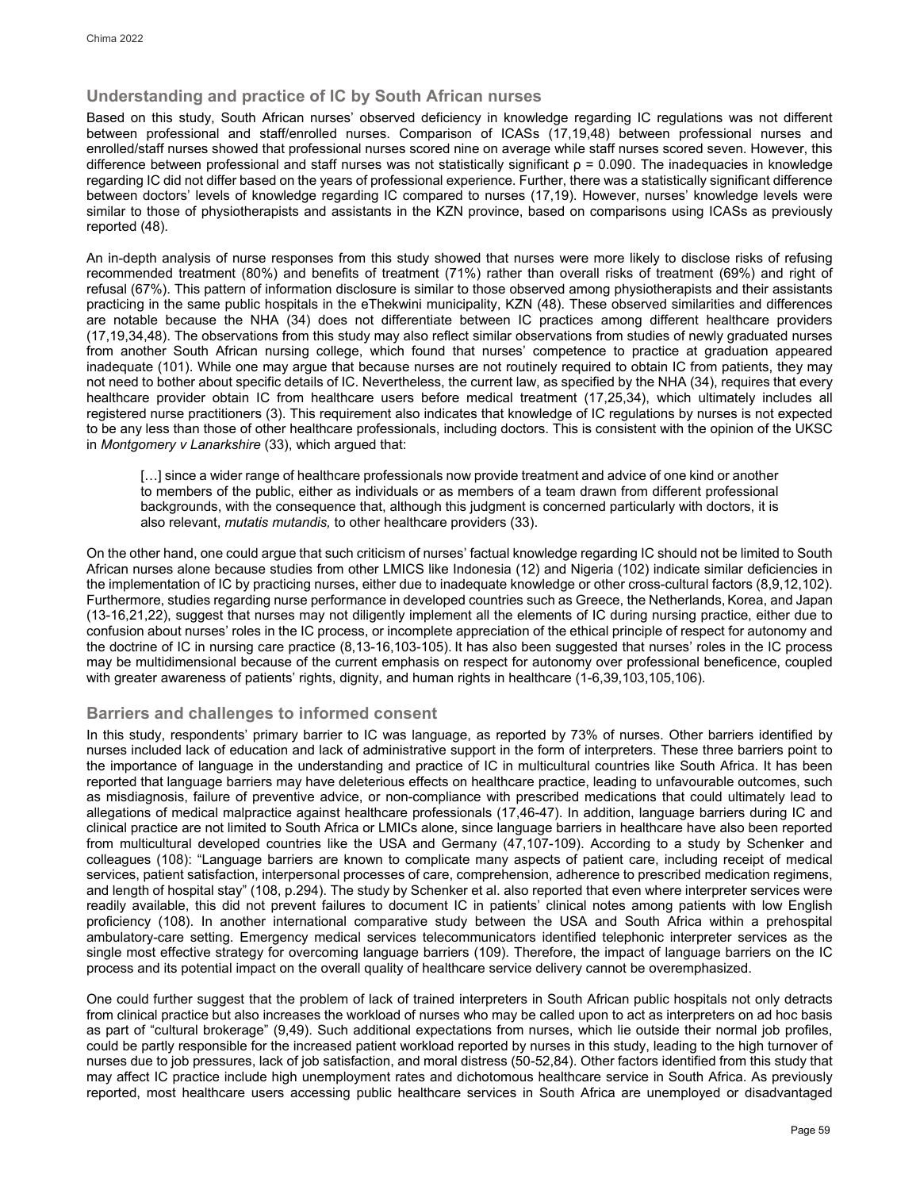## **Understanding and practice of IC by South African nurses**

Based on this study, South African nurses' observed deficiency in knowledge regarding IC regulations was not different between professional and staff/enrolled nurses. Comparison of ICASs (17,19,48) between professional nurses and enrolled/staff nurses showed that professional nurses scored nine on average while staff nurses scored seven. However, this difference between professional and staff nurses was not statistically significant  $\rho$  = 0.090. The inadequacies in knowledge regarding IC did not differ based on the years of professional experience. Further, there was a statistically significant difference between doctors' levels of knowledge regarding IC compared to nurses (17,19). However, nurses' knowledge levels were similar to those of physiotherapists and assistants in the KZN province, based on comparisons using ICASs as previously reported (48).

An in-depth analysis of nurse responses from this study showed that nurses were more likely to disclose risks of refusing recommended treatment (80%) and benefits of treatment (71%) rather than overall risks of treatment (69%) and right of refusal (67%). This pattern of information disclosure is similar to those observed among physiotherapists and their assistants practicing in the same public hospitals in the eThekwini municipality, KZN (48). These observed similarities and differences are notable because the NHA (34) does not differentiate between IC practices among different healthcare providers (17,19,34,48). The observations from this study may also reflect similar observations from studies of newly graduated nurses from another South African nursing college, which found that nurses' competence to practice at graduation appeared inadequate (101). While one may argue that because nurses are not routinely required to obtain IC from patients, they may not need to bother about specific details of IC. Nevertheless, the current law, as specified by the NHA (34), requires that every healthcare provider obtain IC from healthcare users before medical treatment (17,25,34), which ultimately includes all registered nurse practitioners (3). This requirement also indicates that knowledge of IC regulations by nurses is not expected to be any less than those of other healthcare professionals, including doctors. This is consistent with the opinion of the UKSC in *Montgomery v Lanarkshire* (33), which argued that:

[...] since a wider range of healthcare professionals now provide treatment and advice of one kind or another to members of the public, either as individuals or as members of a team drawn from different professional backgrounds, with the consequence that, although this judgment is concerned particularly with doctors, it is also relevant, *mutatis mutandis,* to other healthcare providers (33).

On the other hand, one could argue that such criticism of nurses' factual knowledge regarding IC should not be limited to South African nurses alone because studies from other LMICS like Indonesia (12) and Nigeria (102) indicate similar deficiencies in the implementation of IC by practicing nurses, either due to inadequate knowledge or other cross-cultural factors (8,9,12,102). Furthermore, studies regarding nurse performance in developed countries such as Greece, the Netherlands, Korea, and Japan (13-16,21,22), suggest that nurses may not diligently implement all the elements of IC during nursing practice, either due to confusion about nurses' roles in the IC process, or incomplete appreciation of the ethical principle of respect for autonomy and the doctrine of IC in nursing care practice (8,13-16,103-105). It has also been suggested that nurses' roles in the IC process may be multidimensional because of the current emphasis on respect for autonomy over professional beneficence, coupled with greater awareness of patients' rights, dignity, and human rights in healthcare (1-6,39,103,105,106).

## **Barriers and challenges to informed consent**

In this study, respondents' primary barrier to IC was language, as reported by 73% of nurses. Other barriers identified by nurses included lack of education and lack of administrative support in the form of interpreters. These three barriers point to the importance of language in the understanding and practice of IC in multicultural countries like South Africa. It has been reported that language barriers may have deleterious effects on healthcare practice, leading to unfavourable outcomes, such as misdiagnosis, failure of preventive advice, or non-compliance with prescribed medications that could ultimately lead to allegations of medical malpractice against healthcare professionals (17,46-47). In addition, language barriers during IC and clinical practice are not limited to South Africa or LMICs alone, since language barriers in healthcare have also been reported from multicultural developed countries like the USA and Germany (47,107-109). According to a study by Schenker and colleagues (108): "Language barriers are known to complicate many aspects of patient care, including receipt of medical services, patient satisfaction, interpersonal processes of care, comprehension, adherence to prescribed medication regimens, and length of hospital stay" (108, p.294). The study by Schenker et al. also reported that even where interpreter services were readily available, this did not prevent failures to document IC in patients' clinical notes among patients with low English proficiency (108). In another international comparative study between the USA and South Africa within a prehospital ambulatory-care setting. Emergency medical services telecommunicators identified telephonic interpreter services as the single most effective strategy for overcoming language barriers (109). Therefore, the impact of language barriers on the IC process and its potential impact on the overall quality of healthcare service delivery cannot be overemphasized.

One could further suggest that the problem of lack of trained interpreters in South African public hospitals not only detracts from clinical practice but also increases the workload of nurses who may be called upon to act as interpreters on ad hoc basis as part of "cultural brokerage" (9,49). Such additional expectations from nurses, which lie outside their normal job profiles, could be partly responsible for the increased patient workload reported by nurses in this study, leading to the high turnover of nurses due to job pressures, lack of job satisfaction, and moral distress (50-52,84). Other factors identified from this study that may affect IC practice include high unemployment rates and dichotomous healthcare service in South Africa. As previously reported, most healthcare users accessing public healthcare services in South Africa are unemployed or disadvantaged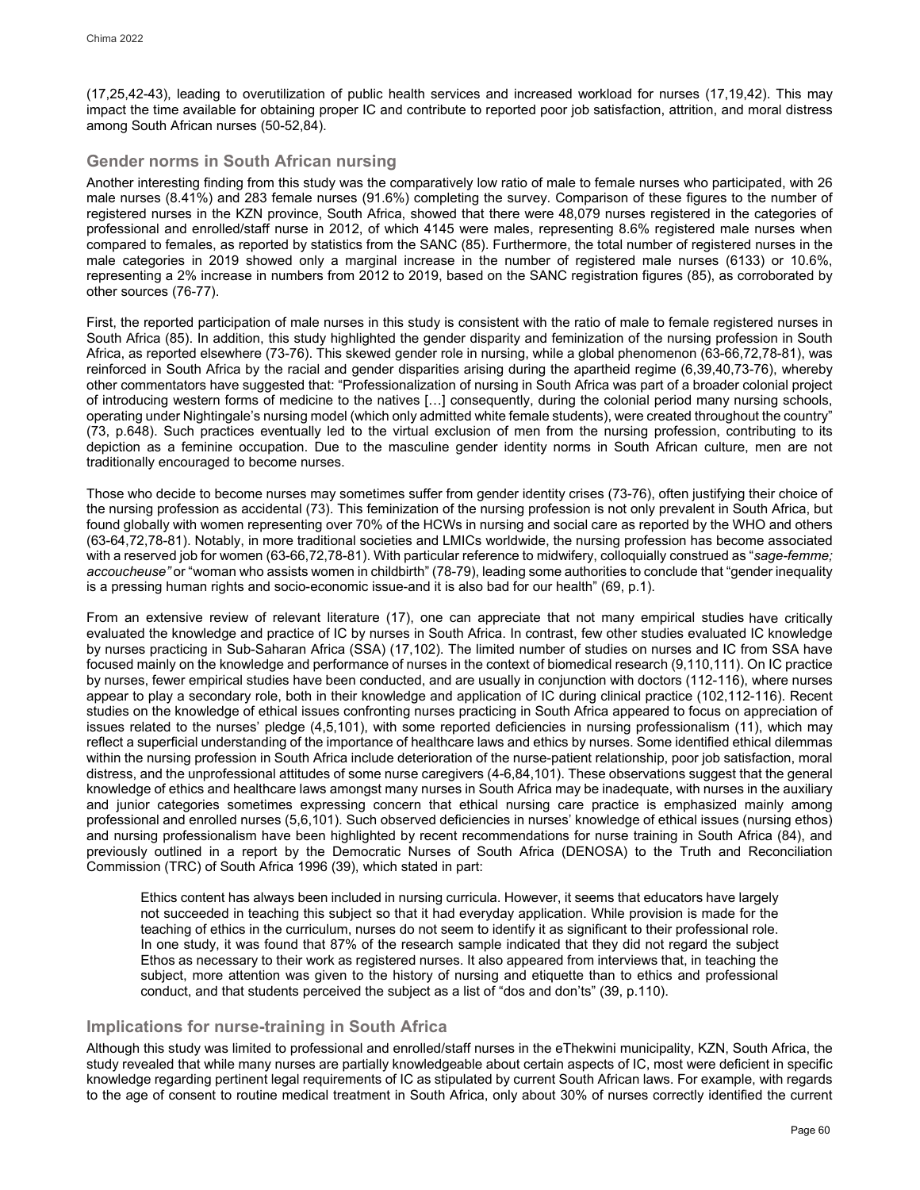(17,25,42-43), leading to overutilization of public health services and increased workload for nurses (17,19,42). This may impact the time available for obtaining proper IC and contribute to reported poor job satisfaction, attrition, and moral distress among South African nurses (50-52,84).

## **Gender norms in South African nursing**

Another interesting finding from this study was the comparatively low ratio of male to female nurses who participated, with 26 male nurses (8.41%) and 283 female nurses (91.6%) completing the survey. Comparison of these figures to the number of registered nurses in the KZN province, South Africa, showed that there were 48,079 nurses registered in the categories of professional and enrolled/staff nurse in 2012, of which 4145 were males, representing 8.6% registered male nurses when compared to females, as reported by statistics from the SANC (85). Furthermore, the total number of registered nurses in the male categories in 2019 showed only a marginal increase in the number of registered male nurses (6133) or 10.6%, representing a 2% increase in numbers from 2012 to 2019, based on the SANC registration figures (85), as corroborated by other sources (76-77).

First, the reported participation of male nurses in this study is consistent with the ratio of male to female registered nurses in South Africa (85). In addition, this study highlighted the gender disparity and feminization of the nursing profession in South Africa, as reported elsewhere (73-76). This skewed gender role in nursing, while a global phenomenon (63-66,72,78-81), was reinforced in South Africa by the racial and gender disparities arising during the apartheid regime (6,39,40,73-76), whereby other commentators have suggested that: "Professionalization of nursing in South Africa was part of a broader colonial project of introducing western forms of medicine to the natives […] consequently, during the colonial period many nursing schools, operating under Nightingale's nursing model (which only admitted white female students), were created throughout the country" (73, p.648). Such practices eventually led to the virtual exclusion of men from the nursing profession, contributing to its depiction as a feminine occupation. Due to the masculine gender identity norms in South African culture, men are not traditionally encouraged to become nurses.

Those who decide to become nurses may sometimes suffer from gender identity crises (73-76), often justifying their choice of the nursing profession as accidental (73). This feminization of the nursing profession is not only prevalent in South Africa, but found globally with women representing over 70% of the HCWs in nursing and social care as reported by the WHO and others (63-64,72,78-81). Notably, in more traditional societies and LMICs worldwide, the nursing profession has become associated with a reserved job for women (63-66,72,78-81). With particular reference to midwifery, colloquially construed as "*sage-femme; accoucheuse"* or "woman who assists women in childbirth" (78-79), leading some authorities to conclude that "gender inequality is a pressing human rights and socio-economic issue-and it is also bad for our health" (69, p.1).

From an extensive review of relevant literature (17), one can appreciate that not many empirical studies have critically evaluated the knowledge and practice of IC by nurses in South Africa. In contrast, few other studies evaluated IC knowledge by nurses practicing in Sub-Saharan Africa (SSA) (17,102). The limited number of studies on nurses and IC from SSA have focused mainly on the knowledge and performance of nurses in the context of biomedical research (9,110,111). On IC practice by nurses, fewer empirical studies have been conducted, and are usually in conjunction with doctors (112-116), where nurses appear to play a secondary role, both in their knowledge and application of IC during clinical practice (102,112-116). Recent studies on the knowledge of ethical issues confronting nurses practicing in South Africa appeared to focus on appreciation of issues related to the nurses' pledge (4,5,101), with some reported deficiencies in nursing professionalism (11), which may reflect a superficial understanding of the importance of healthcare laws and ethics by nurses. Some identified ethical dilemmas within the nursing profession in South Africa include deterioration of the nurse-patient relationship, poor job satisfaction, moral distress, and the unprofessional attitudes of some nurse caregivers (4-6,84,101). These observations suggest that the general knowledge of ethics and healthcare laws amongst many nurses in South Africa may be inadequate, with nurses in the auxiliary and junior categories sometimes expressing concern that ethical nursing care practice is emphasized mainly among professional and enrolled nurses (5,6,101). Such observed deficiencies in nurses' knowledge of ethical issues (nursing ethos) and nursing professionalism have been highlighted by recent recommendations for nurse training in South Africa (84), and previously outlined in a report by the Democratic Nurses of South Africa (DENOSA) to the Truth and Reconciliation Commission (TRC) of South Africa 1996 (39), which stated in part:

Ethics content has always been included in nursing curricula. However, it seems that educators have largely not succeeded in teaching this subject so that it had everyday application. While provision is made for the teaching of ethics in the curriculum, nurses do not seem to identify it as significant to their professional role. In one study, it was found that 87% of the research sample indicated that they did not regard the subject Ethos as necessary to their work as registered nurses. It also appeared from interviews that, in teaching the subject, more attention was given to the history of nursing and etiquette than to ethics and professional conduct, and that students perceived the subject as a list of "dos and don'ts" (39, p.110).

## **Implications for nurse-training in South Africa**

Although this study was limited to professional and enrolled/staff nurses in the eThekwini municipality, KZN, South Africa, the study revealed that while many nurses are partially knowledgeable about certain aspects of IC, most were deficient in specific knowledge regarding pertinent legal requirements of IC as stipulated by current South African laws. For example, with regards to the age of consent to routine medical treatment in South Africa, only about 30% of nurses correctly identified the current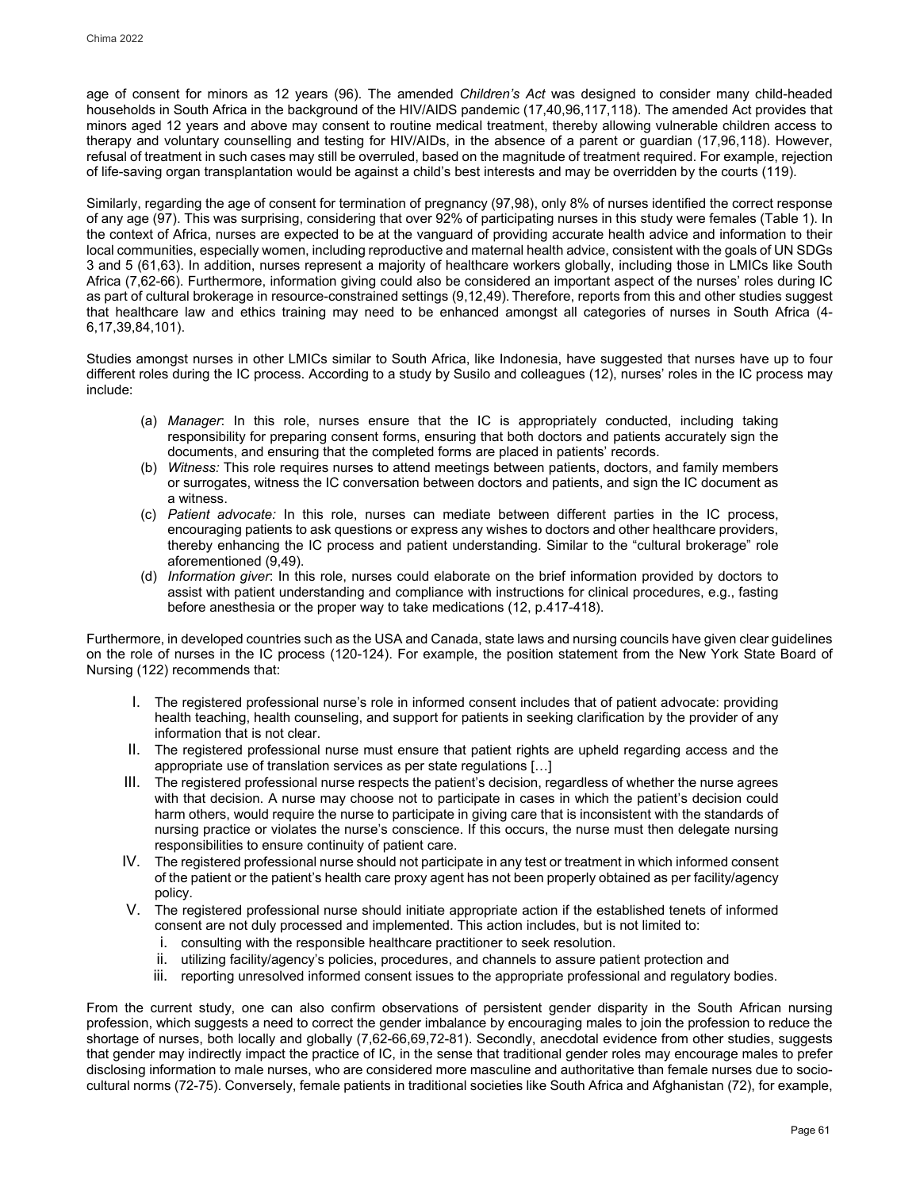age of consent for minors as 12 years (96). The amended *Children's Act* was designed to consider many child-headed households in South Africa in the background of the HIV/AIDS pandemic (17,40,96,117,118). The amended Act provides that minors aged 12 years and above may consent to routine medical treatment, thereby allowing vulnerable children access to therapy and voluntary counselling and testing for HIV/AIDs, in the absence of a parent or guardian (17,96,118). However, refusal of treatment in such cases may still be overruled, based on the magnitude of treatment required. For example, rejection of life-saving organ transplantation would be against a child's best interests and may be overridden by the courts (119).

Similarly, regarding the age of consent for termination of pregnancy (97,98), only 8% of nurses identified the correct response of any age (97). This was surprising, considering that over 92% of participating nurses in this study were females (Table 1). In the context of Africa, nurses are expected to be at the vanguard of providing accurate health advice and information to their local communities, especially women, including reproductive and maternal health advice, consistent with the goals of UN SDGs 3 and 5 (61,63). In addition, nurses represent a majority of healthcare workers globally, including those in LMICs like South Africa (7,62-66). Furthermore, information giving could also be considered an important aspect of the nurses' roles during IC as part of cultural brokerage in resource-constrained settings (9,12,49). Therefore, reports from this and other studies suggest that healthcare law and ethics training may need to be enhanced amongst all categories of nurses in South Africa (4- 6,17,39,84,101).

Studies amongst nurses in other LMICs similar to South Africa, like Indonesia, have suggested that nurses have up to four different roles during the IC process. According to a study by Susilo and colleagues (12), nurses' roles in the IC process may include:

- (a) *Manager*: In this role, nurses ensure that the IC is appropriately conducted, including taking responsibility for preparing consent forms, ensuring that both doctors and patients accurately sign the documents, and ensuring that the completed forms are placed in patients' records.
- (b) *Witness:* This role requires nurses to attend meetings between patients, doctors, and family members or surrogates, witness the IC conversation between doctors and patients, and sign the IC document as a witness.
- (c) *Patient advocate:* In this role, nurses can mediate between different parties in the IC process, encouraging patients to ask questions or express any wishes to doctors and other healthcare providers, thereby enhancing the IC process and patient understanding. Similar to the "cultural brokerage" role aforementioned (9,49).
- (d) *Information giver*: In this role, nurses could elaborate on the brief information provided by doctors to assist with patient understanding and compliance with instructions for clinical procedures, e.g., fasting before anesthesia or the proper way to take medications (12, p.417-418).

Furthermore, in developed countries such as the USA and Canada, state laws and nursing councils have given clear guidelines on the role of nurses in the IC process (120-124). For example, the position statement from the New York State Board of Nursing (122) recommends that:

- I. The registered professional nurse's role in informed consent includes that of patient advocate: providing health teaching, health counseling, and support for patients in seeking clarification by the provider of any information that is not clear.
- II. The registered professional nurse must ensure that patient rights are upheld regarding access and the appropriate use of translation services as per state regulations […]
- III. The registered professional nurse respects the patient's decision, regardless of whether the nurse agrees with that decision. A nurse may choose not to participate in cases in which the patient's decision could harm others, would require the nurse to participate in giving care that is inconsistent with the standards of nursing practice or violates the nurse's conscience. If this occurs, the nurse must then delegate nursing responsibilities to ensure continuity of patient care.
- IV. The registered professional nurse should not participate in any test or treatment in which informed consent of the patient or the patient's health care proxy agent has not been properly obtained as per facility/agency policy.
- V. The registered professional nurse should initiate appropriate action if the established tenets of informed consent are not duly processed and implemented. This action includes, but is not limited to:
	- i. consulting with the responsible healthcare practitioner to seek resolution.
	- ii. utilizing facility/agency's policies, procedures, and channels to assure patient protection and
	- iii. reporting unresolved informed consent issues to the appropriate professional and regulatory bodies.

From the current study, one can also confirm observations of persistent gender disparity in the South African nursing profession, which suggests a need to correct the gender imbalance by encouraging males to join the profession to reduce the shortage of nurses, both locally and globally (7,62-66,69,72-81). Secondly, anecdotal evidence from other studies, suggests that gender may indirectly impact the practice of IC, in the sense that traditional gender roles may encourage males to prefer disclosing information to male nurses, who are considered more masculine and authoritative than female nurses due to sociocultural norms (72-75). Conversely, female patients in traditional societies like South Africa and Afghanistan (72), for example,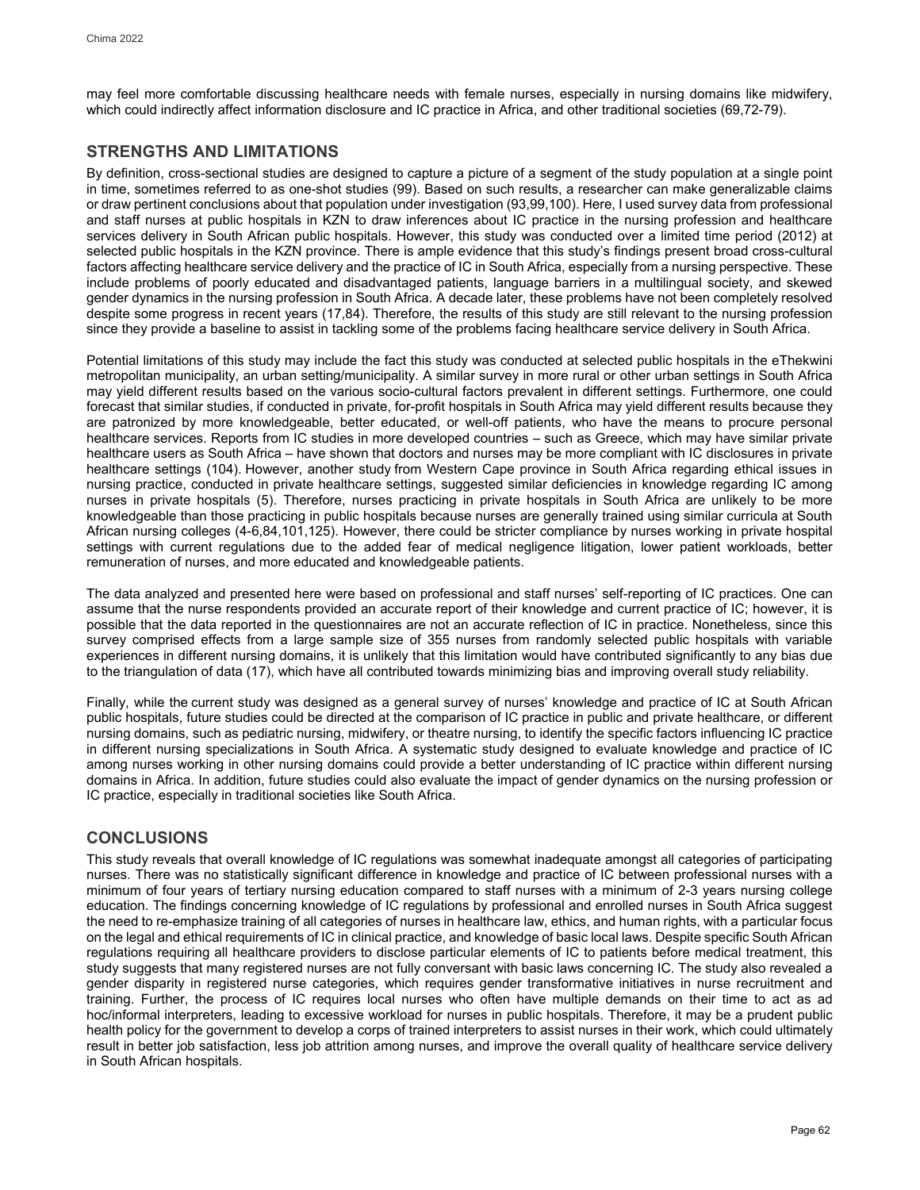may feel more comfortable discussing healthcare needs with female nurses, especially in nursing domains like midwifery, which could indirectly affect information disclosure and IC practice in Africa, and other traditional societies (69,72-79).

## **STRENGTHS AND LIMITATIONS**

By definition, cross-sectional studies are designed to capture a picture of a segment of the study population at a single point in time, sometimes referred to as one-shot studies (99). Based on such results, a researcher can make generalizable claims or draw pertinent conclusions about that population under investigation (93,99,100). Here, I used survey data from professional and staff nurses at public hospitals in KZN to draw inferences about IC practice in the nursing profession and healthcare services delivery in South African public hospitals. However, this study was conducted over a limited time period (2012) at selected public hospitals in the KZN province. There is ample evidence that this study's findings present broad cross-cultural factors affecting healthcare service delivery and the practice of IC in South Africa, especially from a nursing perspective. These include problems of poorly educated and disadvantaged patients, language barriers in a multilingual society, and skewed gender dynamics in the nursing profession in South Africa. A decade later, these problems have not been completely resolved despite some progress in recent years (17,84). Therefore, the results of this study are still relevant to the nursing profession since they provide a baseline to assist in tackling some of the problems facing healthcare service delivery in South Africa.

Potential limitations of this study may include the fact this study was conducted at selected public hospitals in the eThekwini metropolitan municipality, an urban setting/municipality. A similar survey in more rural or other urban settings in South Africa may yield different results based on the various socio-cultural factors prevalent in different settings. Furthermore, one could forecast that similar studies, if conducted in private, for-profit hospitals in South Africa may yield different results because they are patronized by more knowledgeable, better educated, or well-off patients, who have the means to procure personal healthcare services. Reports from IC studies in more developed countries – such as Greece, which may have similar private healthcare users as South Africa – have shown that doctors and nurses may be more compliant with IC disclosures in private healthcare settings (104). However, another study from Western Cape province in South Africa regarding ethical issues in nursing practice, conducted in private healthcare settings, suggested similar deficiencies in knowledge regarding IC among nurses in private hospitals (5). Therefore, nurses practicing in private hospitals in South Africa are unlikely to be more knowledgeable than those practicing in public hospitals because nurses are generally trained using similar curricula at South African nursing colleges (4-6,84,101,125). However, there could be stricter compliance by nurses working in private hospital settings with current regulations due to the added fear of medical negligence litigation, lower patient workloads, better remuneration of nurses, and more educated and knowledgeable patients.

The data analyzed and presented here were based on professional and staff nurses' self-reporting of IC practices. One can assume that the nurse respondents provided an accurate report of their knowledge and current practice of IC; however, it is possible that the data reported in the questionnaires are not an accurate reflection of IC in practice. Nonetheless, since this survey comprised effects from a large sample size of 355 nurses from randomly selected public hospitals with variable experiences in different nursing domains, it is unlikely that this limitation would have contributed significantly to any bias due to the triangulation of data (17), which have all contributed towards minimizing bias and improving overall study reliability.

Finally, while the current study was designed as a general survey of nurses' knowledge and practice of IC at South African public hospitals, future studies could be directed at the comparison of IC practice in public and private healthcare, or different nursing domains, such as pediatric nursing, midwifery, or theatre nursing, to identify the specific factors influencing IC practice in different nursing specializations in South Africa. A systematic study designed to evaluate knowledge and practice of IC among nurses working in other nursing domains could provide a better understanding of IC practice within different nursing domains in Africa. In addition, future studies could also evaluate the impact of gender dynamics on the nursing profession or IC practice, especially in traditional societies like South Africa.

## **CONCLUSIONS**

This study reveals that overall knowledge of IC regulations was somewhat inadequate amongst all categories of participating nurses. There was no statistically significant difference in knowledge and practice of IC between professional nurses with a minimum of four years of tertiary nursing education compared to staff nurses with a minimum of 2-3 years nursing college education. The findings concerning knowledge of IC regulations by professional and enrolled nurses in South Africa suggest the need to re-emphasize training of all categories of nurses in healthcare law, ethics, and human rights, with a particular focus on the legal and ethical requirements of IC in clinical practice, and knowledge of basic local laws. Despite specific South African regulations requiring all healthcare providers to disclose particular elements of IC to patients before medical treatment, this study suggests that many registered nurses are not fully conversant with basic laws concerning IC. The study also revealed a gender disparity in registered nurse categories, which requires gender transformative initiatives in nurse recruitment and training. Further, the process of IC requires local nurses who often have multiple demands on their time to act as ad hoc/informal interpreters, leading to excessive workload for nurses in public hospitals. Therefore, it may be a prudent public health policy for the government to develop a corps of trained interpreters to assist nurses in their work, which could ultimately result in better job satisfaction, less job attrition among nurses, and improve the overall quality of healthcare service delivery in South African hospitals.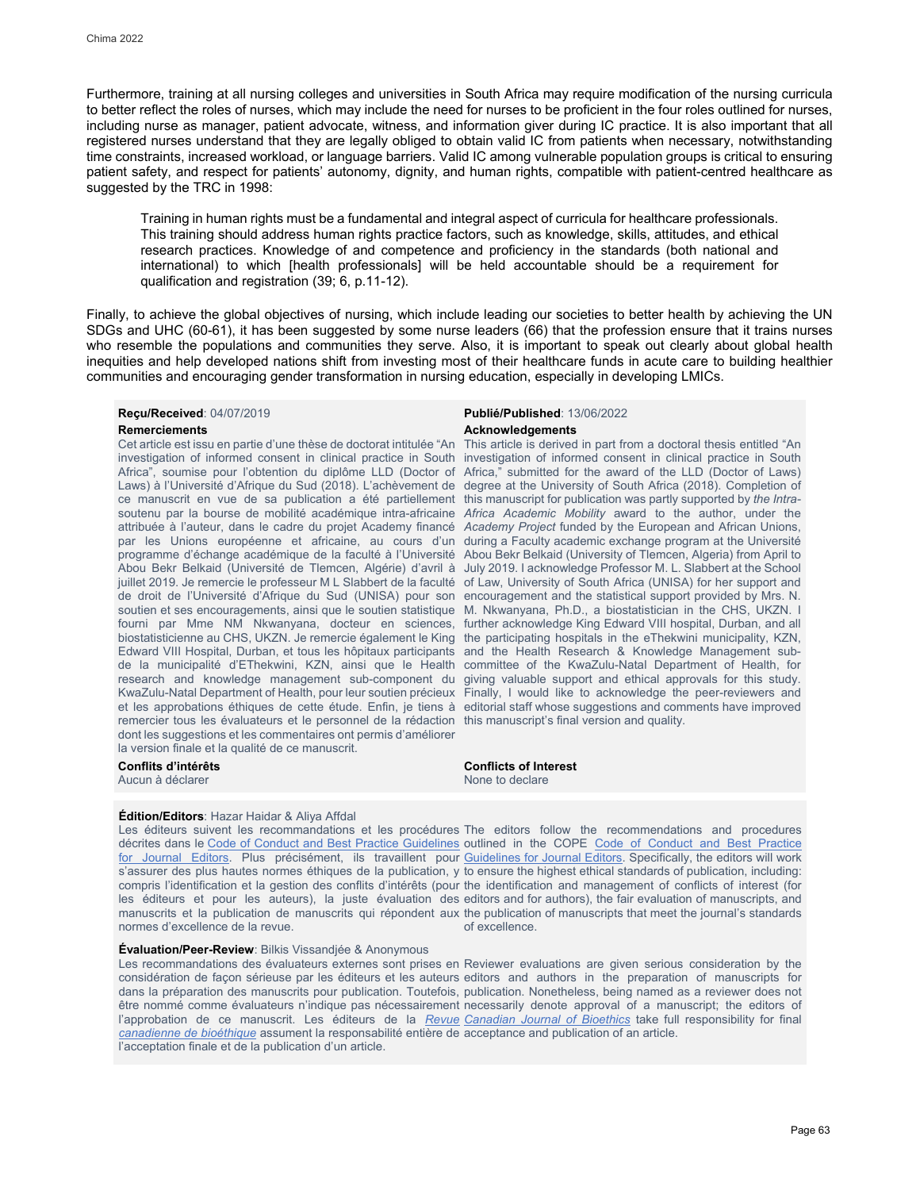Furthermore, training at all nursing colleges and universities in South Africa may require modification of the nursing curricula to better reflect the roles of nurses, which may include the need for nurses to be proficient in the four roles outlined for nurses, including nurse as manager, patient advocate, witness, and information giver during IC practice. It is also important that all registered nurses understand that they are legally obliged to obtain valid IC from patients when necessary, notwithstanding time constraints, increased workload, or language barriers. Valid IC among vulnerable population groups is critical to ensuring patient safety, and respect for patients' autonomy, dignity, and human rights, compatible with patient-centred healthcare as suggested by the TRC in 1998:

Training in human rights must be a fundamental and integral aspect of curricula for healthcare professionals. This training should address human rights practice factors, such as knowledge, skills, attitudes, and ethical research practices. Knowledge of and competence and proficiency in the standards (both national and international) to which [health professionals] will be held accountable should be a requirement for qualification and registration (39; 6, p.11-12).

Finally, to achieve the global objectives of nursing, which include leading our societies to better health by achieving the UN SDGs and UHC (60-61), it has been suggested by some nurse leaders (66) that the profession ensure that it trains nurses who resemble the populations and communities they serve. Also, it is important to speak out clearly about global health inequities and help developed nations shift from investing most of their healthcare funds in acute care to building healthier communities and encouraging gender transformation in nursing education, especially in developing LMICs.

Cet article est issu en partie d'une thèse de doctorat intitulée "An investigation of informed consent in clinical practice in South Africa", soumise pour l'obtention du diplôme LLD (Doctor of Laws) à l'Université d'Afrique du Sud (2018). L'achèvement de ce manuscrit en vue de sa publication a été partiellement soutenu par la bourse de mobilité académique intra-africaine *Africa Academic Mobility* award to the author, under the attribuée à l'auteur, dans le cadre du projet Academy financé *Academy Project* funded by the European and African Unions, par les Unions européenne et africaine, au cours d'un programme d'échange académique de la faculté à l'Université Abou Bekr Belkaid (Université de Tlemcen, Algérie) d'avril à July 2019. I acknowledge Professor M. L. Slabbert at the School juillet 2019. Je remercie le professeur M L Slabbert de la faculté of Law, University of South Africa (UNISA) for her support and de droit de l'Université d'Afrique du Sud (UNISA) pour son soutien et ses encouragements, ainsi que le soutien statistique fourni par Mme NM Nkwanyana, docteur en sciences, further acknowledge King Edward VIII hospital, Durban, and all biostatisticienne au CHS, UKZN. Je remercie également le King the participating hospitals in the eThekwini municipality, KZN, Edward VIII Hospital, Durban, et tous les hôpitaux participants de la municipalité d'EThekwini, KZN, ainsi que le Health research and knowledge management sub-component du KwaZulu-Natal Department of Health, pour leur soutien précieux Finally, I would like to acknowledge the peer-reviewers and et les approbations éthiques de cette étude. Enfin, je tiens à remercier tous les évaluateurs et le personnel de la rédaction this manuscript's final version and quality. dont les suggestions et les commentaires ont permis d'améliorer la version finale et la qualité de ce manuscrit.

## **Édition/Editors**: Hazar Haidar & Aliya Affdal

décrites dans le [Code of Conduct and Best Practice Guidelines](http://publicationethics.org/resources/code-conduct) outlined in the COPE Code of Conduct and Best Practice [for Journal Editors.](http://publicationethics.org/resources/code-conduct) Plus précisément, ils travaillent pour [Guidelines for Journal Editors.](http://publicationethics.org/resources/code-conduct) Specifically, the editors will work s'assurer des plus hautes normes éthiques de la publication, y to ensure the highest ethical standards of publication, including: compris l'identification et la gestion des conflits d'intérêts (pour the identification and management of conflicts of interest (for les éditeurs et pour les auteurs), la juste évaluation des editors and for authors), the fair evaluation of manuscripts, and manuscrits et la publication de manuscrits qui répondent aux the publication of manuscripts that meet the journal's standards normes d'excellence de la revue.

## **Évaluation/Peer-Review**: Bilkis Vissandjée & Anonymous

Les recommandations des évaluateurs externes sont prises en Reviewer evaluations are given serious consideration by the considération de façon sérieuse par les éditeurs et les auteurs editors and authors in the preparation of manuscripts for dans la préparation des manuscrits pour publication. Toutefois, publication. Nonetheless, being named as a reviewer does not être nommé comme évaluateurs n'indique pas nécessairement necessarily denote approval of a manuscript; the editors of l'approbation de ce manuscrit. Les éditeurs de la <u>*Revue* C*anadian Journal of Bioethics</u> take full* responsibility for final</u> *[canadienne de bioéthique](http://cjb-rcb.ca/)* assument la responsabilité entière de acceptance and publication of an article. l'acceptation finale et de la publication d'un article.

## **Reçu/Received**: 04/07/2019 **Publié/Published**: 13/06/2022 **Remerciements Acknowledgements**

This article is derived in part from a doctoral thesis entitled "An investigation of informed consent in clinical practice in South Africa," submitted for the award of the LLD (Doctor of Laws) degree at the University of South Africa (2018). Completion of this manuscript for publication was partly supported by *the Intra*during a Faculty academic exchange program at the Université Abou Bekr Belkaid (University of Tlemcen, Algeria) from April to encouragement and the statistical support provided by Mrs. N. M. Nkwanyana, Ph.D., a biostatistician in the CHS, UKZN. I and the Health Research & Knowledge Management subcommittee of the KwaZulu-Natal Department of Health, for giving valuable support and ethical approvals for this study. editorial staff whose suggestions and comments have improved

**Conflits d'intérêts Conflicts of Interest** Aucun à déclarer  $\blacksquare$ 

Les éditeurs suivent les recommandations et les procédures The editors follow the recommendations and procedures of excellence.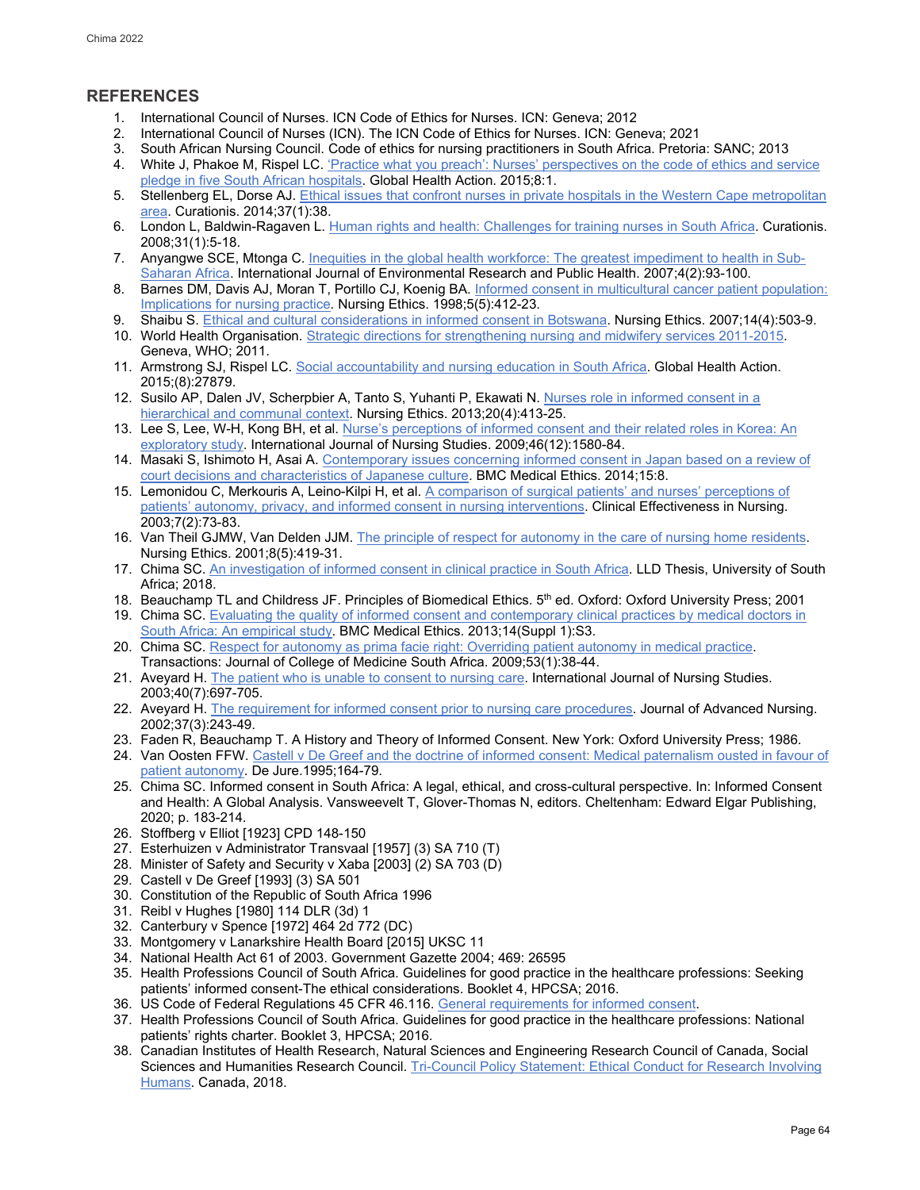## **REFERENCES**

- 1. International Council of Nurses. ICN Code of Ethics for Nurses. ICN: Geneva; 2012
- 2. International Council of Nurses (ICN). The ICN Code of Ethics for Nurses. ICN: Geneva; 2021
- 3. South African Nursing Council. Code of ethics for nursing practitioners in South Africa. Pretoria: SANC; 2013
- 4. White J, Phakoe M, Rispel LC. 'Practice what you preach': Nurses' perspectives on the code of ethics and service [pledge in five South African hospitals.](http://dx.doi.org/10.3402/gha.v8.26341) Global Health Action. 2015;8:1.
- 5. Stellenberg EL, Dorse AJ[. Ethical issues that confront nurses in private hospitals in the Western Cape metropolitan](https://pubmed.ncbi.nlm.nih.gov/25026868/)  [area.](https://pubmed.ncbi.nlm.nih.gov/25026868/) Curationis. 2014;37(1):38.
- 6. London L, Baldwin-Ragaven L. [Human rights and health: Challenges for training nurses in South Africa.](https://doi.org/10.4102/curationis.v31i1.898) Curationis. 2008;31(1):5-18.
- 7. Anyangwe SCE, Mtonga C[. Inequities in the global health workforce: The greatest impediment to health in Sub-](https://www.ncbi.nlm.nih.gov/pmc/articles/PMC3728573/)[Saharan Africa.](https://www.ncbi.nlm.nih.gov/pmc/articles/PMC3728573/) International Journal of Environmental Research and Public Health. 2007;4(2):93-100.
- 8. Barnes DM, Davis AJ, Moran T, Portillo CJ, Koenig BA. Informed consent in multicultural cancer patient population: [Implications for nursing practice](https://pubmed.ncbi.nlm.nih.gov/9782926/)*.* Nursing Ethics. 1998;5(5):412-23.
- 9. Shaibu S. [Ethical and cultural considerations in informed consent in Botswana.](https://pubmed.ncbi.nlm.nih.gov/17562729/) Nursing Ethics. 2007;14(4):503-9.
- 10. World Health Organisation. [Strategic directions for strengthening nursing and midwifery services 2011-2015.](https://apps.who.int/iris/handle/10665/70526) Geneva, WHO; 2011.
- 11. Armstrong SJ, Rispel LC. [Social accountability and nursing education in South Africa.](https://www.ncbi.nlm.nih.gov/pmc/articles/PMC4430686/) Global Health Action. 2015;(8):27879.
- 12. Susilo AP, Dalen JV, Scherpbier A, Tanto S, Yuhanti P, Ekawati N. [Nurses role in informed consent in a](https://pubmed.ncbi.nlm.nih.gov/23378543/)  [hierarchical and communal context.](https://pubmed.ncbi.nlm.nih.gov/23378543/) Nursing Ethics. 2013;20(4):413-25.
- 13. Lee S, Lee, W-H, Kong BH, et al. [Nurse's perceptions of informed consent and their related roles in Korea: An](https://pubmed.ncbi.nlm.nih.gov/19559435/)  [exploratory study.](https://pubmed.ncbi.nlm.nih.gov/19559435/) International Journal of Nursing Studies. 2009;46(12):1580-84.
- 14. Masaki S, Ishimoto H, Asai A[. Contemporary issues concerning informed consent in Japan based on a review of](https://pubmed.ncbi.nlm.nih.gov/24495473/)  [court decisions and characteristics of Japanese culture.](https://pubmed.ncbi.nlm.nih.gov/24495473/) BMC Medical Ethics. 2014;15:8.
- 15. Lemonidou C, Merkouris A, Leino-Kilpi H, et al. [A comparison of surgical patients' and nurses' perceptions of](https://www.sciencedirect.com/science/article/abs/pii/S1361900403000712?via%3Dihub)  [patients' autonomy, privacy, and informed consent in nursing interventions.](https://www.sciencedirect.com/science/article/abs/pii/S1361900403000712?via%3Dihub) Clinical Effectiveness in Nursing. 2003;7(2):73-83.
- 16. Van Theil GJMW, Van Delden JJM[. The principle of respect for autonomy in the care of](https://pubmed.ncbi.nlm.nih.gov/16004096/) nursing home residents. Nursing Ethics. 2001;8(5):419-31.
- 17. Chima SC[. An investigation of informed consent in clinical practice in South Africa.](http://uir.unisa.ac.za/handle/10500/24545) LLD Thesis, University of South Africa; 2018.
- 18. Beauchamp TL and Childress JF. Principles of Biomedical Ethics. 5<sup>th</sup> ed. Oxford: Oxford University Press; 2001
- 19. Chima SC[. Evaluating the quality of informed consent and contemporary clinical practices by medical doctors in](https://bmcmedethics.biomedcentral.com/articles/10.1186/1472-6939-14-S1-S3)  [South Africa: An empirical study.](https://bmcmedethics.biomedcentral.com/articles/10.1186/1472-6939-14-S1-S3) BMC Medical Ethics. 2013;14(Suppl 1):S3.
- 20. Chima SC[. Respect for autonomy as prima facie right: Overriding patient autonomy in medical practice.](https://papers.ssrn.com/sol3/papers.cfm?abstract_id=2222575) Transactions: Journal of College of Medicine South Africa. 2009;53(1):38-44.
- 21. Aveyard H[. The patient who is unable to consent to nursing care.](https://pubmed.ncbi.nlm.nih.gov/12965161/) International Journal of Nursing Studies. 2003;40(7):697-705.
- 22. Aveyard H[. The requirement for informed consent prior to nursing care procedures.](https://pubmed.ncbi.nlm.nih.gov/11851794/) Journal of Advanced Nursing. 2002;37(3):243-49.
- 23. Faden R, Beauchamp T. A History and Theory of Informed Consent. New York: Oxford University Press; 1986.
- 24. Van Oosten FFW. Castell v De Greef and the doctrine of informed consent: Medical paternalism ousted in favour of [patient autonomy.](https://heinonline.org/hol-cgi-bin/get_pdf.cgi?handle=hein.journals/dejur28§ion=14) De Jure.1995;164-79.
- 25. Chima SC. Informed consent in South Africa: A legal, ethical, and cross-cultural perspective. In: Informed Consent and Health: A Global Analysis. Vansweevelt T, Glover-Thomas N, editors. Cheltenham: Edward Elgar Publishing, 2020; p. 183-214.
- 26. Stoffberg v Elliot [1923] CPD 148-150
- 27. Esterhuizen v Administrator Transvaal [1957] (3) SA 710 (T)
- 28. Minister of Safety and Security v Xaba [2003] (2) SA 703 (D)
- 29. Castell v De Greef [1993] (3) SA 501
- 30. Constitution of the Republic of South Africa 1996
- 31. Reibl v Hughes [1980] 114 DLR (3d) 1
- 32. Canterbury v Spence [1972] 464 2d 772 (DC)
- 33. Montgomery v Lanarkshire Health Board [2015] UKSC 11
- 34. National Health Act 61 of 2003. Government Gazette 2004; 469: 26595
- 35. Health Professions Council of South Africa. Guidelines for good practice in the healthcare professions: Seeking patients' informed consent-The ethical considerations. Booklet 4, HPCSA; 2016.
- 36. US Code of Federal Regulations 45 CFR 46.116. [General requirements for informed consent.](http://www.law.cornell.edu/cfr)
- 37. Health Professions Council of South Africa. Guidelines for good practice in the healthcare professions: National patients' rights charter. Booklet 3, HPCSA; 2016.
- 38. Canadian Institutes of Health Research, Natural Sciences and Engineering Research Council of Canada, Social Sciences and Humanities Research Council[. Tri-Council Policy Statement: Ethical Conduct for Research Involving](https://ethics.gc.ca/eng/policy-politique_tcps2-eptc2_2018.html)  [Humans.](https://ethics.gc.ca/eng/policy-politique_tcps2-eptc2_2018.html) Canada, 2018.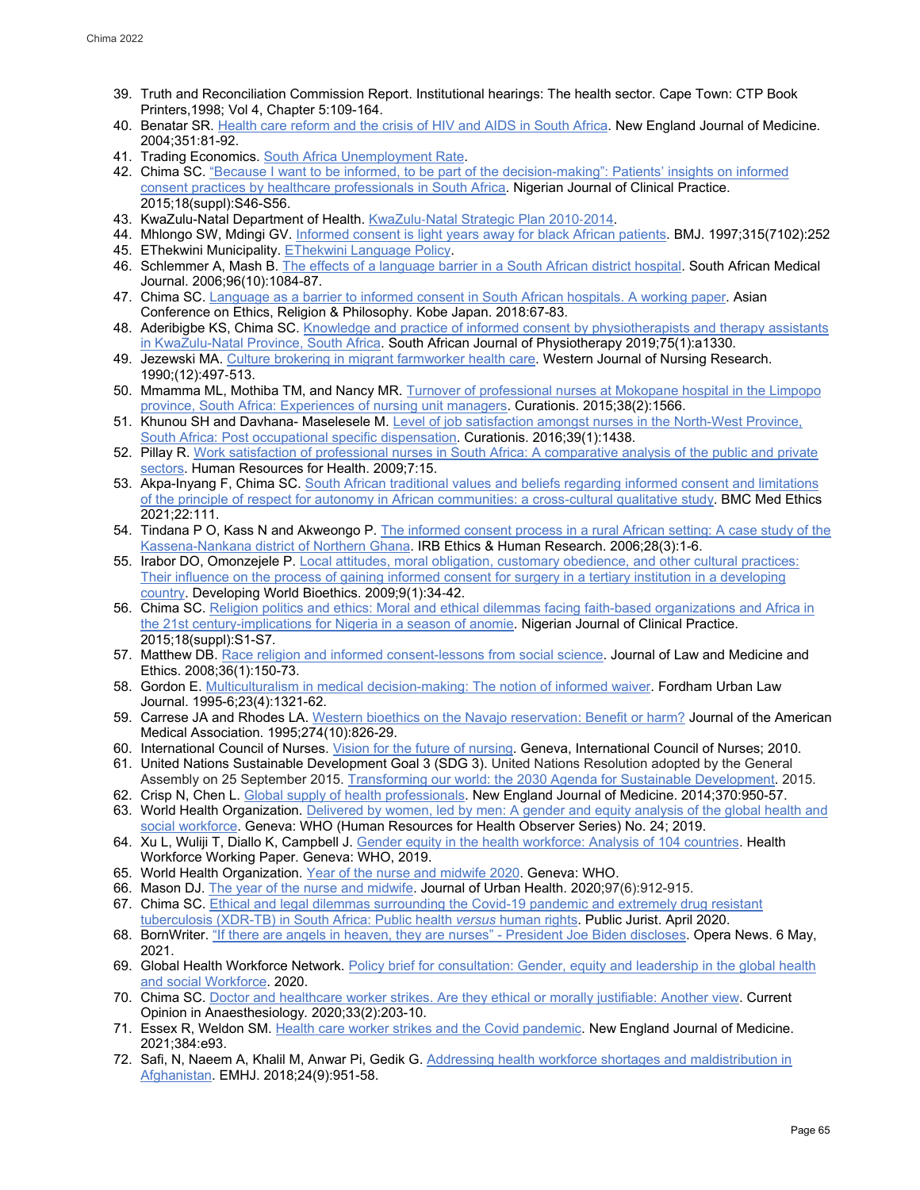- 39. Truth and Reconciliation Commission Report. Institutional hearings: The health sector. Cape Town: CTP Book Printers,1998; Vol 4, Chapter 5:109-164.
- 40. Benatar SR. [Health care reform and the crisis of HIV and AIDS in South Africa.](https://www.nejm.org/doi/full/10.1056/nejmhpr033471) New England Journal of Medicine. 2004;351:81-92.
- 41. Trading Economics[. South Africa Unemployment Rate.](https://tradingeconomics.com/south-africa/unemployment-rate)
- 42. Chima SC. "Because I want to be informed, to be part of the decision-making": Patients' insights on informed [consent practices by healthcare professionals in South Africa.](https://pubmed.ncbi.nlm.nih.gov/26620622/) Nigerian Journal of Clinical Practice. 2015;18(suppl):S46-S56.
- 43. KwaZulu-Natal Department of Health. KwaZulu-[Natal Strategic Plan 2010](http://www.kznhealth.gov.za/stratplan2010-14.pdf)-2014.
- 44. Mhlongo SW, Mdingi GV. [Informed consent is light years away for black African patients.](https://pubmed.ncbi.nlm.nih.gov/9253291/) BMJ. 1997;315(7102):252 45. EThekwini Municipality[. EThekwini Language Policy.](http://www.durban.gov.za/ethekwinilanguagepolicy.pdf)
- 46. Schlemmer A, Mash B. [The effects of a language barrier in a South African district hospital.](https://pubmed.ncbi.nlm.nih.gov/17164941/) South African Medical Journal. 2006;96(10):1084-87.
- 47. Chima SC[. Language as a barrier to informed consent in South African hospitals. A working paper.](http://papers.iafor.org/wp-content/uploads/conference-proceedings/ACERP/ACERP2018_proceedings.pdf) Asian Conference on Ethics, Religion & Philosophy. Kobe Japan. 2018:67-83.
- 48. Aderibigbe KS, Chima SC. Knowledge and practice of informed consent by physiotherapists and therapy assistants [in KwaZulu-Natal Province, South Africa.](https://www.ncbi.nlm.nih.gov/pmc/articles/PMC6739519/) South African Journal of Physiotherapy 2019;75(1):a1330.
- 49. Jezewski MA. [Culture brokering in migrant farmworker health care.](https://pubmed.ncbi.nlm.nih.gov/2375102/) Western Journal of Nursing Research. 1990;(12):497‑513.
- 50. Mmamma ML, Mothiba TM, and Nancy MR[. Turnover of professional nurses at Mokopane hospital in the Limpopo](https://pubmed.ncbi.nlm.nih.gov/26842094/)  [province, South Africa: Experiences of nursing unit managers.](https://pubmed.ncbi.nlm.nih.gov/26842094/) Curationis. 2015;38(2):1566.
- 51. Khunou SH and Davhana- Maselesele M[. Level of job satisfaction amongst nurses in the North-West Province,](https://pubmed.ncbi.nlm.nih.gov/26974827/)  [South Africa: Post occupational specific dispensation.](https://pubmed.ncbi.nlm.nih.gov/26974827/) Curationis. 2016;39(1):1438.
- 52. Pillay R. [Work satisfaction of professional nurses in South Africa: A comparative analysis of the public and private](https://human-resources-health.biomedcentral.com/articles/10.1186/1478-4491-7-15)  [sectors.](https://human-resources-health.biomedcentral.com/articles/10.1186/1478-4491-7-15) Human Resources for Health. 2009;7:15.
- 53. Akpa-Inyang F, Chima SC. South African traditional values and beliefs regarding informed consent and limitations [of the principle of respect for autonomy in African communities: a cross-cultural qualitative study.](https://doi.org/10.1186/s12910-021-00678-4) BMC Med Ethics 2021;22:111.
- 54. Tindana P O, Kass N and Akweongo P[. The informed consent process in a rural African setting: A case study of the](https://pubmed.ncbi.nlm.nih.gov/17036437/)  [Kassena-Nankana district of Northern Ghana.](https://pubmed.ncbi.nlm.nih.gov/17036437/) IRB Ethics & Human Research. 2006;28(3):1-6.
- 55. Irabor DO, Omonzejele P[. Local attitudes, moral obligation, customary obedience, and other cultural practices:](https://pubmed.ncbi.nlm.nih.gov/19302568/)  [Their influence on the process of gaining informed consent for surgery in a tertiary institution in a developing](https://pubmed.ncbi.nlm.nih.gov/19302568/)  [country.](https://pubmed.ncbi.nlm.nih.gov/19302568/) Developing World Bioethics. 2009;9(1):34‑42.
- 56. Chima SC[. Religion politics and ethics: Moral and ethical dilemmas facing faith-based organizations and Africa in](https://pubmed.ncbi.nlm.nih.gov/26620616/)  [the 21st century-implications for Nigeria in a season of anomie.](https://pubmed.ncbi.nlm.nih.gov/26620616/) Nigerian Journal of Clinical Practice. 2015;18(suppl):S1-S7.
- 57. Matthew DB[. Race religion and informed consent-lessons from social science.](https://pubmed.ncbi.nlm.nih.gov/18315768/) Journal of Law and Medicine and Ethics. 2008;36(1):150-73.
- 58. Gordon E. [Multiculturalism in medical decision-making: The notion of informed waiver.](https://pubmed.ncbi.nlm.nih.gov/16189911/) Fordham Urban Law Journal. 1995-6;23(4):1321-62.
- 59. Carrese JA and Rhodes LA. [Western bioethics on the Navajo reservation: Benefit or harm?](https://pubmed.ncbi.nlm.nih.gov/7650807/) Journal of the American Medical Association. 1995;274(10):826-29.
- 60. International Council of Nurses[. Vision for the future of nursing.](https://www.icn.ch/who-we-are/icn-mission-vision-constitution-and-strategic-plan) Geneva, International Council of Nurses; 2010.
- 61. United Nations Sustainable Development Goal 3 (SDG 3). United Nations Resolution adopted by the General Assembly on 25 September 2015. [Transforming our world: the 2030 Agenda for Sustainable Development.](https://sdgs.un.org/2030agenda) 2015.
- 62. Crisp N, Chen L[. Global supply of health professionals.](https://www.nejm.org/doi/full/10.1056/nejmra1111610) New England Journal of Medicine. 2014;370:950-57.
- 63. World Health Organization. [Delivered by women, led by men: A gender and equity analysis of the global health and](https://c8fbe10e-fb87-47e7-844b-4e700959d2d4.filesusr.com/ugd/ffa4bc_1fd58cb6a73449b682d188ac54d30a94.pdf)  [social workforce.](https://c8fbe10e-fb87-47e7-844b-4e700959d2d4.filesusr.com/ugd/ffa4bc_1fd58cb6a73449b682d188ac54d30a94.pdf) Geneva: WHO (Human Resources for Health Observer Series) No. 24; 2019.
- 64. Xu L, Wuliji T, Diallo K, Campbell J[. Gender equity in the health workforce: Analysis of 104 countries.](https://apps.who.int/iris/bitstream/handle/10665/311314/WHO-HIS-HWF-Gender-WP1-2019.1-eng.pdf) Health Workforce Working Paper. Geneva: WHO, 2019.
- 65. World Health Organization. [Year of the nurse and midwife 2020.](https://www.who.int/campaigns/annual-theme/year-of-the-nurse-and-the-midwife-2020) Geneva: WHO.
- 66. Mason DJ. [The year of the nurse and midwife.](https://doi.org/10.1007/s11524-020-00470-6) Journal of Urban Health. 2020;97(6):912-915.
- 67. Chima SC[. Ethical and legal dilemmas surrounding the Covid-19 pandemic and extremely drug resistant](https://drive.google.com/file/d/1H2Qpqko5JV772D_r1sS2J7Ci6sKrqbIC/view)
- [tuberculosis \(XDR-TB\) in South Africa: Public health](https://drive.google.com/file/d/1H2Qpqko5JV772D_r1sS2J7Ci6sKrqbIC/view) *versus* human rights. Public Jurist. April 2020. 68. BornWriter[. "If there are angels in heaven, they are nurses" - President Joe Biden discloses.](https://ng.opera.news/ng/en/politics/90484e0239bedad2d1de73f8b31ed6b6) Opera News. 6 May, 2021.
- 69. Global Health Workforce Network. [Policy brief for consultation: Gender, equity and leadership in](https://www.who.int/docs/default-source/health-workforce/ghwn-geh-policy-brief-for-consultation.pdf?sfvrsn=ff48aa7b_4) the global health [and social Workforce.](https://www.who.int/docs/default-source/health-workforce/ghwn-geh-policy-brief-for-consultation.pdf?sfvrsn=ff48aa7b_4) 2020.
- 70. Chima SC[. Doctor and healthcare worker strikes. Are they ethical or morally justifiable: Another view.](https://pubmed.ncbi.nlm.nih.gov/31904696/) Current Opinion in Anaesthesiology*.* 2020;33(2):203-10.
- 71. Essex R, Weldon SM[. Health care worker strikes and the Covid pandemic.](https://www.nejm.org/doi/full/10.1056/NEJMp2103327) New England Journal of Medicine. 2021;384:e93.
- 72. Safi, N, Naeem A, Khalil M, Anwar Pi, Gedik G. [Addressing health workforce shortages and maldistribution in](https://pubmed.ncbi.nlm.nih.gov/30570128/)  [Afghanistan.](https://pubmed.ncbi.nlm.nih.gov/30570128/) EMHJ. 2018;24(9):951-58.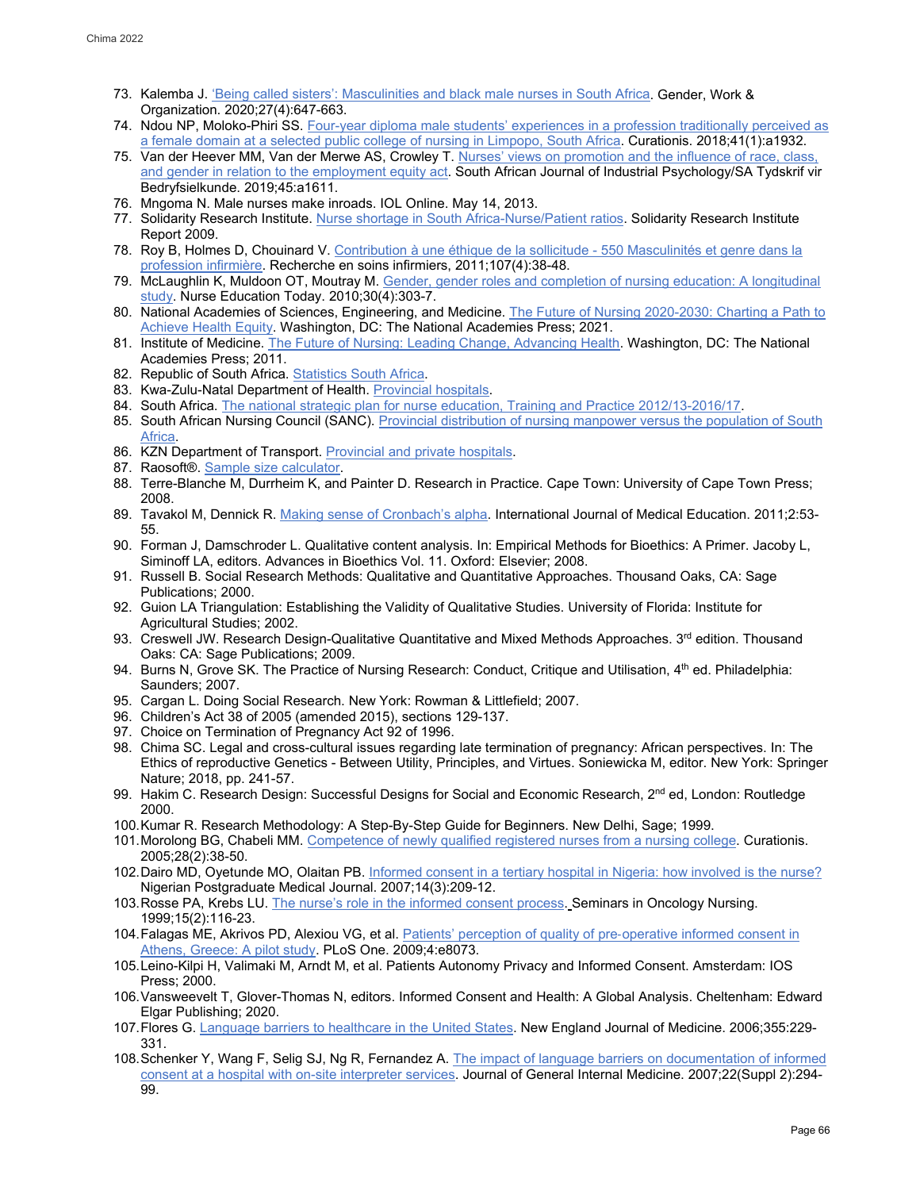- 73. Kalemba J. ['Being called sisters': Masculinities and black male nurses in South Africa.](https://doi.org/10.1111/gwao.12423) Gender, Work & Organization. 2020;27(4):647-663.
- 74. Ndou NP, Moloko-Phiri SS[. Four-year diploma male students' experiences in a profession traditionally perceived as](https://www.ncbi.nlm.nih.gov/pmc/articles/PMC6191660/)  [a female domain at a selected public college of nursing in Limpopo, South Africa.](https://www.ncbi.nlm.nih.gov/pmc/articles/PMC6191660/) Curationis. 2018;41(1):a1932.
- 75. Van der Heever MM, Van der Merwe AS, Crowley T. [Nurses' views on promotion and the influence of race, class,](https://sajip.co.za/index.php/sajip/article/view/1611)  [and gender in relation to the employment equity act.](https://sajip.co.za/index.php/sajip/article/view/1611) South African Journal of Industrial Psychology/SA Tydskrif vir Bedryfsielkunde. 2019;45:a1611.
- 76. Mngoma N. Male nurses make inroads. IOL Online. May 14, 2013.
- 77. Solidarity Research Institute[. Nurse shortage in South Africa-Nurse/Patient ratios.](http://www.solidarity.co.za/) Solidarity Research Institute Report 2009.
- 78. Roy B, Holmes D, Chouinard V[. Contribution à une éthique de la sollicitude 550 Masculinités et genre dans la](https://doi.org/10.3917/rsi.107.0038)  [profession infirmière.](https://doi.org/10.3917/rsi.107.0038) Recherche en soins infirmiers, 2011;107(4):38-48.
- 79. McLaughlin K, Muldoon OT, Moutray M. [Gender, gender roles and completion of nursing education: A longitudinal](https://pubmed.ncbi.nlm.nih.gov/19758730/)  [study.](https://pubmed.ncbi.nlm.nih.gov/19758730/) Nurse Education Today. 2010;30(4):303-7.
- 80. National Academies of Sciences, Engineering, and Medicine. The Future of Nursing 2020-2030: Charting a Path to [Achieve Health Equity.](https://doi.org/10.17226/25982) Washington, DC: The National Academies Press; 2021.
- 81. Institute of Medicine[. The Future of Nursing: Leading Change, Advancing Health.](https://doi.org/10.17226/12956) Washington, DC: The National Academies Press; 2011.
- 82. Republic of South Africa. [Statistics South Africa.](http://www.statssa.gov.za/?page_id=1021&id=ethekwini-municipality)
- 83. Kwa-Zulu-Natal Department of Health[. Provincial hospitals](http://www.kznhealth.gov.za/district1.htm).
- 84. South Africa. The national strategic plan for nurse education, Training and Practice 2012/13-2016/17.
- 85. South African Nursing Council (SANC). Provincial distribution of nursing manpower versus the population of South [Africa.](https://www.google.com/url?sa=t&rct=j&q=&esrc=s&source=web&cd=&cad=rja&uact=8&ved=2ahUKEwiJnaW9nY_3AhUWoWoFHfzlB-8QFnoECAYQAQ&url=https%3A%2F%2Fwww.sanc.co.za%2Fwp-content%2Fuploads%2F2020%2F09%2FStats-2019-1-Provincial-Distribution.pdf)
- 86. KZN Department of Transport. [Provincial and private hospitals.](http://www.kzntransport.gov.za/rd_traffic/rti/hospitals/index.htm)
- 87. Raosoft®. [Sample size calculator.](http://www.raosoft.com/samplesize.html)
- 88. Terre-Blanche M, Durrheim K, and Painter D. Research in Practice. Cape Town: University of Cape Town Press; 2008.
- 89. Tavakol M, Dennick R[. Making sense of Cronbach's alpha.](https://www.ncbi.nlm.nih.gov/pmc/articles/PMC4205511/) International Journal of Medical Education. 2011;2:53- 55.
- 90. Forman J, Damschroder L. Qualitative content analysis. In: Empirical Methods for Bioethics: A Primer. Jacoby L, Siminoff LA, editors. Advances in Bioethics Vol. 11. Oxford: Elsevier; 2008.
- 91. Russell B. Social Research Methods: Qualitative and Quantitative Approaches. Thousand Oaks, CA: Sage Publications; 2000.
- 92. Guion LA Triangulation: Establishing the Validity of Qualitative Studies. University of Florida: Institute for Agricultural Studies; 2002.
- 93. Creswell JW. Research Design-Qualitative Quantitative and Mixed Methods Approaches. 3<sup>rd</sup> edition. Thousand Oaks: CA: Sage Publications; 2009.
- 94. Burns N, Grove SK. The Practice of Nursing Research: Conduct, Critique and Utilisation, 4<sup>th</sup> ed. Philadelphia: Saunders; 2007.
- 95. Cargan L. Doing Social Research. New York: Rowman & Littlefield; 2007.
- 96. Children's Act 38 of 2005 (amended 2015), sections 129-137.
- 97. Choice on Termination of Pregnancy Act 92 of 1996.
- 98. Chima SC. Legal and cross-cultural issues regarding late termination of pregnancy: African perspectives. In: The Ethics of reproductive Genetics - Between Utility, Principles, and Virtues. Soniewicka M, editor. New York: Springer Nature; 2018, pp. 241-57.
- 99. Hakim C. Research Design: Successful Designs for Social and Economic Research, 2<sup>nd</sup> ed, London: Routledge 2000.
- 100.Kumar R. Research Methodology: A Step-By-Step Guide for Beginners. New Delhi, Sage; 1999.
- 101.Morolong BG, Chabeli MM[. Competence of newly qualified registered nurses from a nursing college.](https://pubmed.ncbi.nlm.nih.gov/16045110/) Curationis. 2005;28(2):38-50.
- 102.Dairo MD, Oyetunde MO, Olaitan PB. Informed consent [in a tertiary hospital in Nigeria: how involved is the nurse?](https://pubmed.ncbi.nlm.nih.gov/17767204/) Nigerian Postgraduate Medical Journal. 2007;14(3):209-12.
- 103.Rosse PA, Krebs LU. The nurse's role in [the informed consent process.](https://pubmed.ncbi.nlm.nih.gov/10222511/) Seminars in Oncology Nursing. 1999;15(2):116-23.
- 104. Falagas ME, Akrivos PD, Alexiou VG, et al. [Patients' perception of quality of pre](https://journals.plos.org/plosone/article?id=10.1371/journal.pone.0008073)-operative informed consent in [Athens, Greece: A pilot study.](https://journals.plos.org/plosone/article?id=10.1371/journal.pone.0008073) PLoS One. 2009;4:e8073.
- 105.Leino-Kilpi H, Valimaki M, Arndt M, et al. Patients Autonomy Privacy and Informed Consent. Amsterdam: IOS Press; 2000.
- 106.Vansweevelt T, Glover-Thomas N, editors. Informed Consent and Health: A Global Analysis. Cheltenham: Edward Elgar Publishing; 2020.
- 107.Flores G. [Language barriers to healthcare in the United States.](https://pubmed.ncbi.nlm.nih.gov/16855260/) New England Journal of Medicine. 2006;355:229- 331.
- 108.Schenker Y, Wang F, Selig SJ, Ng R, Fernandez A[. The impact of language barriers on documentation of informed](https://pubmed.ncbi.nlm.nih.gov/17957414/)  [consent at a hospital with on-site interpreter services.](https://pubmed.ncbi.nlm.nih.gov/17957414/) Journal of General Internal Medicine. 2007;22(Suppl 2):294- 99.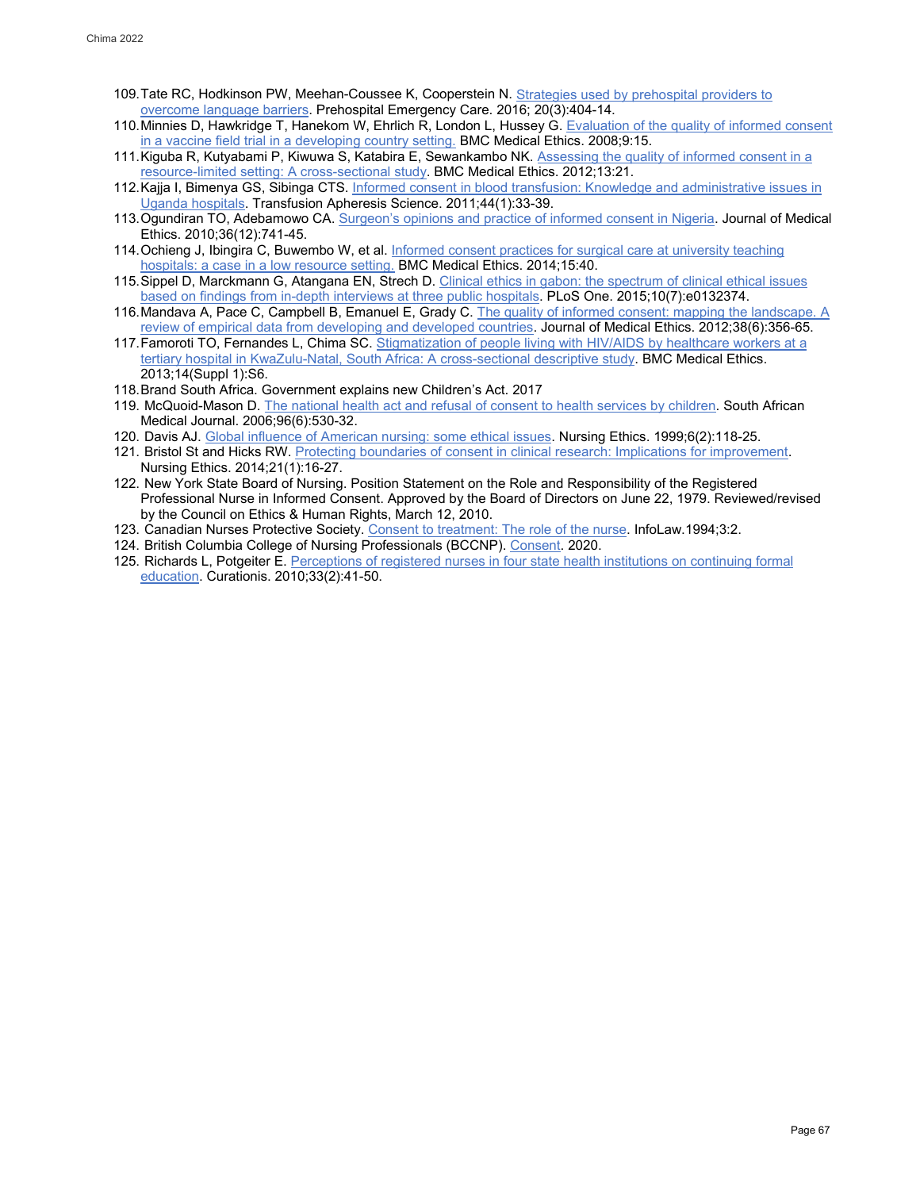- 109.Tate RC, Hodkinson PW, Meehan-Coussee K, Cooperstein N[. Strategies used by prehospital providers to](https://pubmed.ncbi.nlm.nih.gov/26807873/)  [overcome language barriers.](https://pubmed.ncbi.nlm.nih.gov/26807873/) Prehospital Emergency Care. 2016; 20(3):404-14.
- 110. Minnies D, Hawkridge T, Hanekom W, Ehrlich R, London L, Hussey G. Evaluation of the quality of informed consent [in a vaccine field trial in a developing country setting.](https://www.ncbi.nlm.nih.gov/pmc/articles/PMC2575196/) BMC Medical Ethics. 2008;9:15.
- 111.Kiguba R, Kutyabami P, Kiwuwa S, Katabira E, Sewankambo NK[. Assessing the quality of informed consent in a](https://bmcmedethics.biomedcentral.com/articles/10.1186/1472-6939-13-21)  [resource-limited setting: A cross-sectional study.](https://bmcmedethics.biomedcentral.com/articles/10.1186/1472-6939-13-21) BMC Medical Ethics. 2012;13:21.
- 112. Kajja I, Bimenya GS, Sibinga CTS. Informed consent in blood transfusion: Knowledge and administrative issues in [Uganda hospitals.](https://pubmed.ncbi.nlm.nih.gov/21236732/) Transfusion Apheresis Science. 2011;44(1):33-39.
- 113.Ogundiran TO, Adebamowo CA[. Surgeon's opinions and practice of informed consent in Nigeria.](https://www.ncbi.nlm.nih.gov/pmc/articles/PMC3332031/) Journal of Medical Ethics. 2010;36(12):741-45.
- 114. Ochieng J, Ibingira C, Buwembo W, et al. Informed consent practices for surgical care at university teaching [hospitals: a case in a low resource setting.](https://bmcmedethics.biomedcentral.com/articles/10.1186/1472-6939-15-40) BMC Medical Ethics. 2014;15:40.
- 115. Sippel D, Marckmann G, Atangana EN, Strech D. Clinical ethics in gabon: the spectrum of clinical ethical issues [based on findings from in-depth interviews at three public hospitals.](https://journals.plos.org/plosone/article?id=10.1371/journal.pone.0132374) PLoS One. 2015;10(7):e0132374.
- 116.Mandava A, Pace C, Campbell B, Emanuel E, Grady C[. The quality of informed consent: mapping the landscape. A](https://pubmed.ncbi.nlm.nih.gov/22313664/)  [review of empirical data from developing and developed countries.](https://pubmed.ncbi.nlm.nih.gov/22313664/) Journal of Medical Ethics. 2012;38(6):356-65.
- 117. Famoroti TO, Fernandes L, Chima SC. Stigmatization of people living with HIV/AIDS by healthcare workers at a [tertiary hospital in KwaZulu-Natal, South Africa: A cross-sectional descriptive study.](https://www.ncbi.nlm.nih.gov/pmc/articles/PMC3878339/) BMC Medical Ethics. 2013;14(Suppl 1):S6.
- 118.Brand South Africa. Government explains new Children's Act. 2017
- 119. McQuoid-Mason D. [The national health act and refusal of consent to health services by children.](https://pubmed.ncbi.nlm.nih.gov/16841137/) South African Medical Journal. 2006;96(6):530-32.
- 120. Davis AJ. Global influence of [American nursing: some ethical issues.](https://pubmed.ncbi.nlm.nih.gov/10358527/) Nursing Ethics. 1999;6(2):118-25.
- 121. Bristol St and Hicks RW[. Protecting boundaries of consent in clinical research: Implications for improvement.](https://pubmed.ncbi.nlm.nih.gov/23715553/) Nursing Ethics. 2014;21(1):16-27.
- 122. New York State Board of Nursing. Position Statement on the Role and Responsibility of the Registered Professional Nurse in Informed Consent. Approved by the Board of Directors on June 22, 1979. Reviewed/revised by the Council on Ethics & Human Rights, March 12, 2010.
- 123. Canadian Nurses Protective Society. [Consent to treatment: The role of the nurse.](https://cnps.ca/article/consent-to-treatment/) InfoLaw.1994;3:2.
- 124. British Columbia College of Nursing Professionals (BCCNP)[. Consent.](https://www.bccnm.ca/RN/PracticeStandards/Pages/consent.aspx) 2020.
- 125. Richards L, Potgeiter E[. Perceptions of registered nurses in four state health institutions on continuing formal](https://pubmed.ncbi.nlm.nih.gov/21469515/)  [education.](https://pubmed.ncbi.nlm.nih.gov/21469515/) Curationis. 2010;33(2):41-50.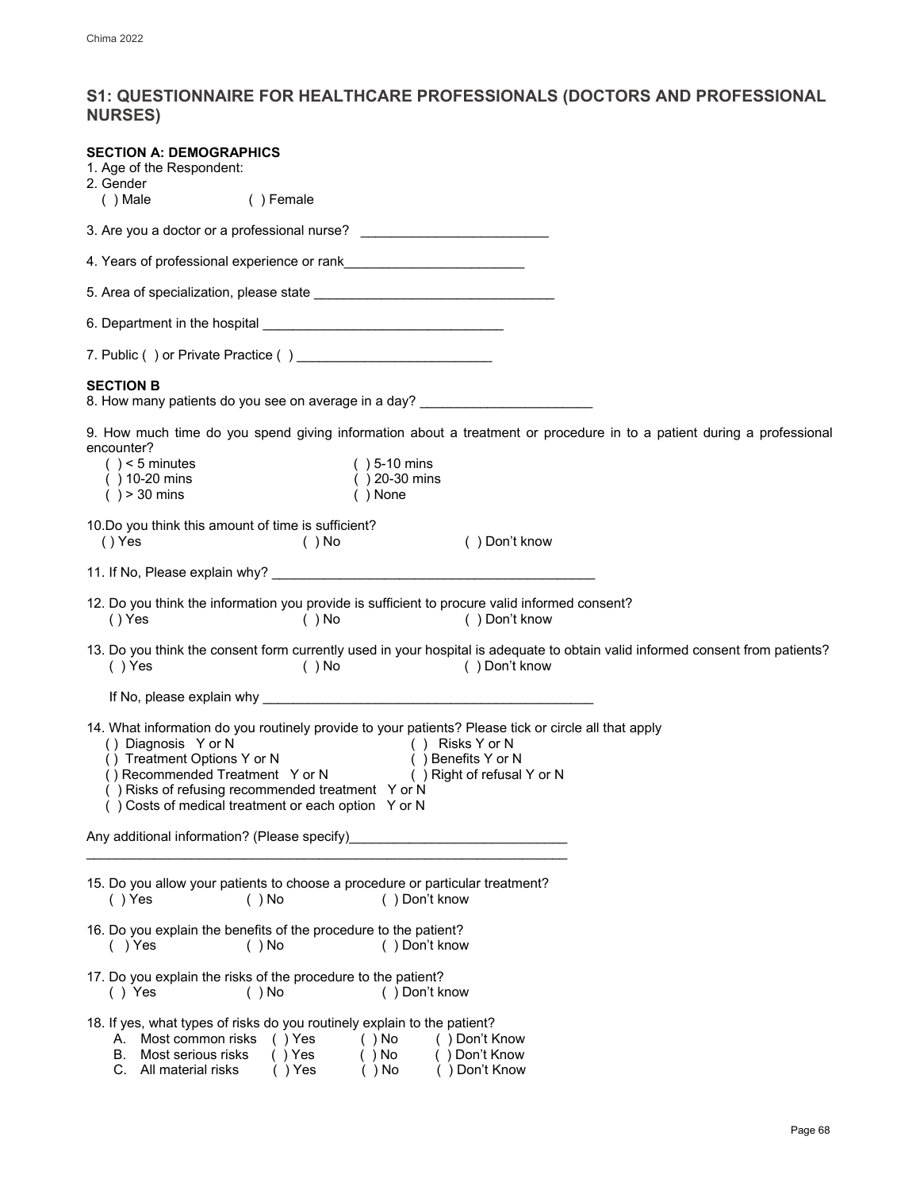## <span id="page-25-0"></span>**S1: QUESTIONNAIRE FOR HEALTHCARE PROFESSIONALS (DOCTORS AND PROFESSIONAL NURSES)**

| <b>SECTION A: DEMOGRAPHICS</b><br>1. Age of the Respondent:<br>2. Gender<br>$( )$ Male<br>( ) Female                                                                                                                                                                                                                                                                                     |
|------------------------------------------------------------------------------------------------------------------------------------------------------------------------------------------------------------------------------------------------------------------------------------------------------------------------------------------------------------------------------------------|
| 3. Are you a doctor or a professional nurse? ___________________________________                                                                                                                                                                                                                                                                                                         |
|                                                                                                                                                                                                                                                                                                                                                                                          |
|                                                                                                                                                                                                                                                                                                                                                                                          |
|                                                                                                                                                                                                                                                                                                                                                                                          |
|                                                                                                                                                                                                                                                                                                                                                                                          |
| <b>SECTION B</b><br>8. How many patients do you see on average in a day? ___________________________                                                                                                                                                                                                                                                                                     |
| 9. How much time do you spend giving information about a treatment or procedure in to a patient during a professional<br>encounter?<br>$( ) < 5$ minutes<br>$( ) 5-10 \text{ mins}$<br>$( ) 10-20$ mins<br>$( ) 20-30$ mins<br>$( ) > 30$ mins<br>$( )$ None                                                                                                                             |
| 10. Do you think this amount of time is sufficient?<br>() Yes<br>() Don't know<br>$( )$ No                                                                                                                                                                                                                                                                                               |
|                                                                                                                                                                                                                                                                                                                                                                                          |
| 12. Do you think the information you provide is sufficient to procure valid informed consent?<br>() Yes<br>$( )$ No<br>() Don't know                                                                                                                                                                                                                                                     |
| 13. Do you think the consent form currently used in your hospital is adequate to obtain valid informed consent from patients?<br>() Yes<br>$( )$ No<br>() Don't know                                                                                                                                                                                                                     |
|                                                                                                                                                                                                                                                                                                                                                                                          |
| 14. What information do you routinely provide to your patients? Please tick or circle all that apply<br>() Diagnosis Y or N<br>() Treatment Options Y or N<br>() Risks Y or N<br>() Risks Y or N<br>() Right of refusal<br>() Right of refusal<br>() Right of refusal Y or N<br>() Risks of refusing recommended treatment Y or N<br>() Costs of medical treatment or each option Y or N |
| Any additional information? (Please specify)                                                                                                                                                                                                                                                                                                                                             |
| 15. Do you allow your patients to choose a procedure or particular treatment?<br>$( )$ Yes<br>() Don't know<br>$( )$ No                                                                                                                                                                                                                                                                  |
| 16. Do you explain the benefits of the procedure to the patient?<br>$( )$ Yes<br>$( )$ No<br>() Don't know                                                                                                                                                                                                                                                                               |
| 17. Do you explain the risks of the procedure to the patient?<br>$( )$ Yes<br>$( )$ No<br>() Don't know                                                                                                                                                                                                                                                                                  |
| 18. If yes, what types of risks do you routinely explain to the patient?<br>Most common risks<br>$( )$ Yes<br>$( )$ No<br>() Don't Know<br>А.<br>Most serious risks<br>$( )$ Yes<br>$( )$ No<br>) Don't Know<br>В.<br>() Don't Know<br>C. All material risks<br>( ) Yes<br>( ) No                                                                                                        |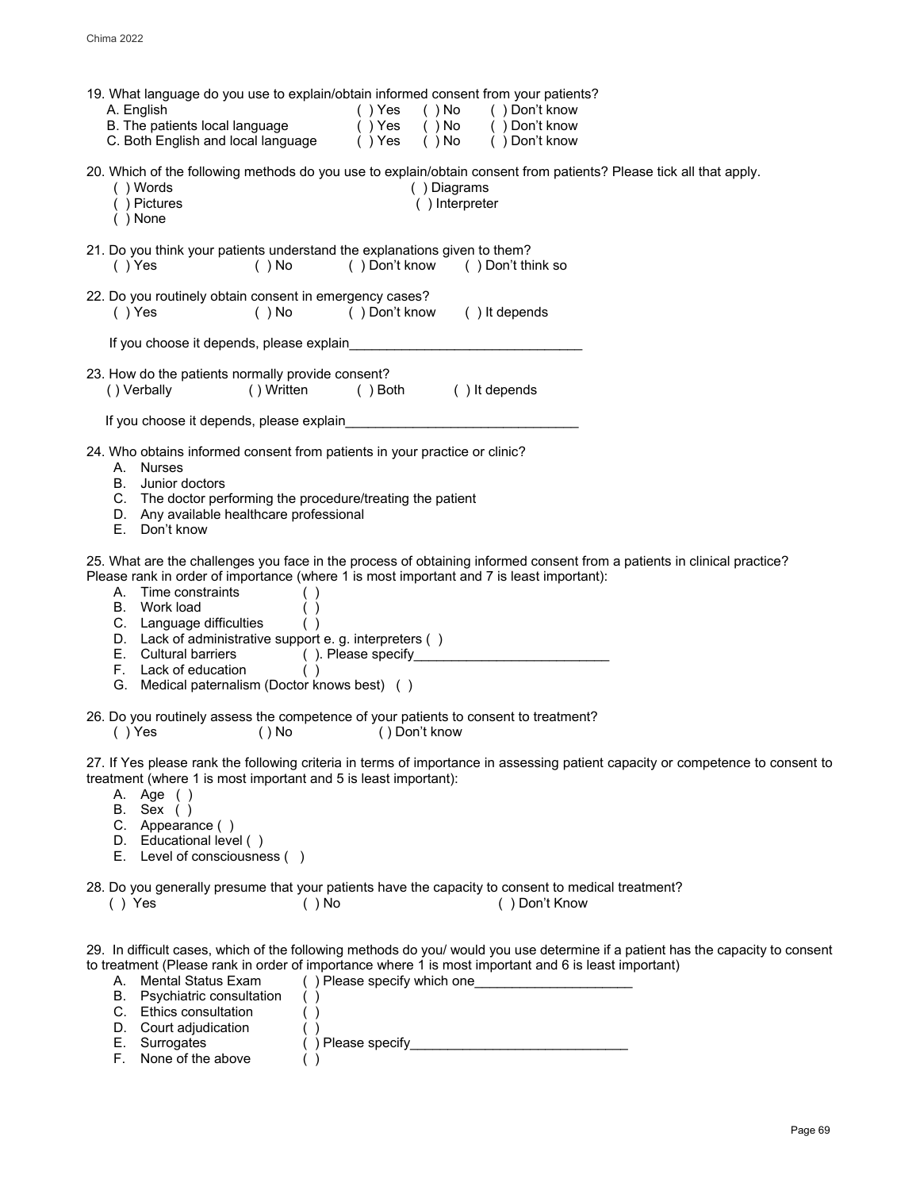| 19. What language do you use to explain/obtain informed consent from your patients?<br>A. English<br>( ) Yes<br>$( )$ No<br>() Don't know<br>B. The patients local language<br>$( )$ Yes<br>$( )$ No<br>() Don't know<br>C. Both English and local language () Yes<br>( ) No<br>() Don't know                                                                                                                                                             |
|-----------------------------------------------------------------------------------------------------------------------------------------------------------------------------------------------------------------------------------------------------------------------------------------------------------------------------------------------------------------------------------------------------------------------------------------------------------|
| 20. Which of the following methods do you use to explain/obtain consent from patients? Please tick all that apply.<br>() Words<br>() Diagrams<br>() Pictures<br>() Interpreter<br>$( )$ None                                                                                                                                                                                                                                                              |
| 21. Do you think your patients understand the explanations given to them?<br>$( )$ Yes<br>() Don't know<br>$( )$ No<br>() Don't think so                                                                                                                                                                                                                                                                                                                  |
| 22. Do you routinely obtain consent in emergency cases?<br>() It depends<br>$( )$ Yes<br>()Don't know<br>$( )$ No                                                                                                                                                                                                                                                                                                                                         |
| If you choose it depends, please explain                                                                                                                                                                                                                                                                                                                                                                                                                  |
| 23. How do the patients normally provide consent?<br>( ) It depends<br>() Verbally<br>()Written<br>( ) Both                                                                                                                                                                                                                                                                                                                                               |
| If you choose it depends, please explain                                                                                                                                                                                                                                                                                                                                                                                                                  |
| 24. Who obtains informed consent from patients in your practice or clinic?<br>A. Nurses<br>Junior doctors<br>В.<br>C. The doctor performing the procedure/treating the patient<br>D. Any available healthcare professional<br>Е.<br>Don't know                                                                                                                                                                                                            |
| 25. What are the challenges you face in the process of obtaining informed consent from a patients in clinical practice?<br>Please rank in order of importance (where 1 is most important and 7 is least important):<br>A. Time constraints<br>B. Work load<br>C. Language difficulties<br>D. Lack of administrative support e. g. interpreters ()<br>E. Cultural barriers<br>F. Lack of education<br>( )<br>G. Medical paternalism (Doctor knows best) () |
| 26. Do you routinely assess the competence of your patients to consent to treatment?<br>$( )$ Yes<br>$()$ No<br>()Don't know                                                                                                                                                                                                                                                                                                                              |
| 27. If Yes please rank the following criteria in terms of importance in assessing patient capacity or competence to consent to<br>treatment (where 1 is most important and 5 is least important):<br>A. Age ()<br>B. Sex ( )<br>C. Appearance ()<br>D. Educational level ()<br>E. Level of consciousness ()                                                                                                                                               |
| 28. Do you generally presume that your patients have the capacity to consent to medical treatment?<br>() Don't Know<br>$( )$ Yes<br>$( )$ No                                                                                                                                                                                                                                                                                                              |
| 29. In difficult cases, which of the following methods do you/ would you use determine if a patient has the capacity to consent<br>to treatment (Please rank in order of importance where 1 is most important and 6 is least important)                                                                                                                                                                                                                   |

A. Mental Status Exam ()Please specify which one\_\_\_\_\_\_\_\_\_\_\_\_\_\_\_\_\_\_\_\_\_\_\_\_ B. Psychiatric consultation ( ) C. Ethics consultation ( )

| D. Court adjudication |                   |
|-----------------------|-------------------|
| E. Surrogates         | () Please specify |
| F. None of the above  |                   |